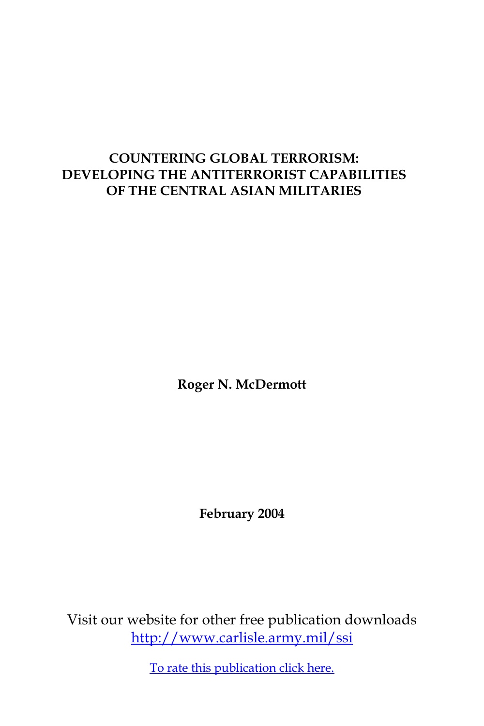## **COUNTERING GLOBAL TERRORISM: DEVELOPING THE ANTITERRORIST CAPABILITIES OF THE CENTRAL ASIAN MILITARIES**

**Roger N. McDermott**

**February 2004**

Visit our website for other free publication downloads <http://www.carlisle.army.mil/ssi>

[To rate this publication click here.](http://www.carlisle.army.mil/ssi/pubs/display.cfm/hurl/PubID=370)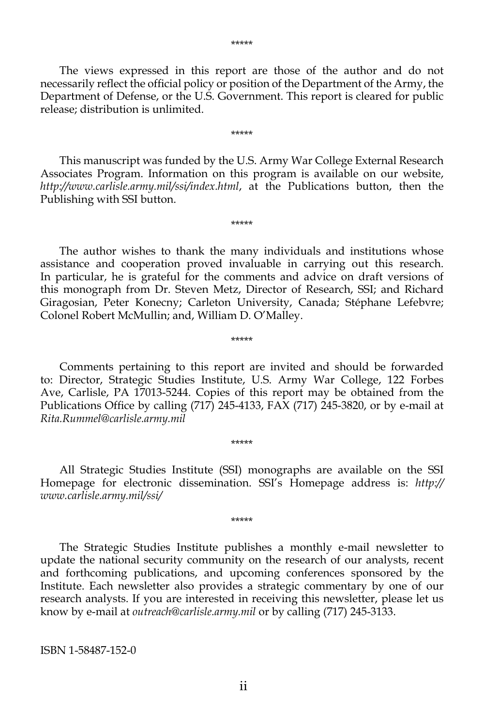The views expressed in this report are those of the author and do not necessarily reflect the official policy or position of the Department of the Army, the Department of Defense, or the U.S. Government. This report is cleared for public release; distribution is unlimited.

\*\*\*\*\*

 This manuscript was funded by the U.S. Army War College External Research Associates Program. Information on this program is available on our website, *http://www.carlisle.army.mil/ssi/index.html*, at the Publications button, then the Publishing with SSI button.

\*\*\*\*\*

 The author wishes to thank the many individuals and institutions whose assistance and cooperation proved invaluable in carrying out this research. In particular, he is grateful for the comments and advice on draft versions of this monograph from Dr. Steven Metz, Director of Research, SSI; and Richard Giragosian, Peter Konecny; Carleton University, Canada; Stéphane Lefebvre; Colonel Robert McMullin; and, William D. O'Malley.

\*\*\*\*\*

 Comments pertaining to this report are invited and should be forwarded to: Director, Strategic Studies Institute, U.S. Army War College, 122 Forbes Ave, Carlisle, PA 17013-5244. Copies of this report may be obtained from the Publications Office by calling (717) 245-4133, FAX (717) 245-3820, or by e-mail at *Rita.Rummel@carlisle.army.mil*

 All Strategic Studies Institute (SSI) monographs are available on the SSI Homepage for electronic dissemination. SSI's Homepage address is: *http:// www.carlisle.army.mil/ssi/*

\*\*\*\*\*

\*\*\*\*\*

 The Strategic Studies Institute publishes a monthly e-mail newsletter to update the national security community on the research of our analysts, recent and forthcoming publications, and upcoming conferences sponsored by the Institute. Each newsletter also provides a strategic commentary by one of our research analysts. If you are interested in receiving this newsletter, please let us know by e-mail at *outreach@carlisle.army.mil* or by calling (717) 245-3133.

ISBN 1-58487-152-0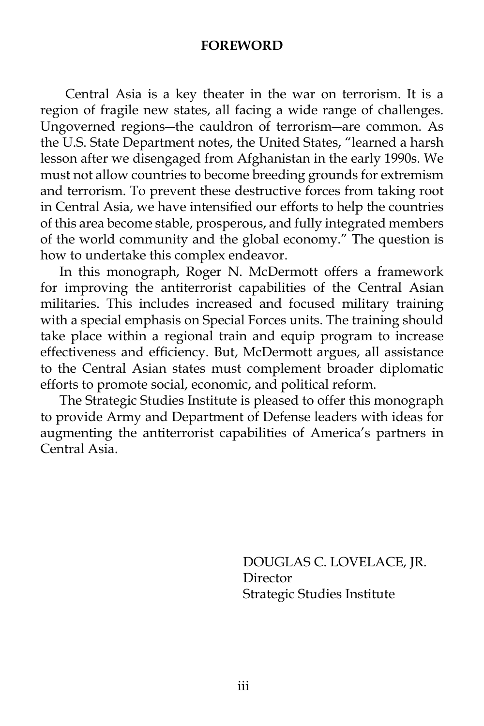#### **FOREWORD**

 Central Asia is a key theater in the war on terrorism. It is a region of fragile new states, all facing a wide range of challenges. Ungoverned regions―the cauldron of terrorism―are common. As the U.S. State Department notes, the United States, "learned a harsh lesson after we disengaged from Afghanistan in the early 1990s. We must not allow countries to become breeding grounds for extremism and terrorism. To prevent these destructive forces from taking root in Central Asia, we have intensified our efforts to help the countries of this area become stable, prosperous, and fully integrated members of the world community and the global economy." The question is how to undertake this complex endeavor.

 In this monograph, Roger N. McDermott offers a framework for improving the antiterrorist capabilities of the Central Asian militaries. This includes increased and focused military training with a special emphasis on Special Forces units. The training should take place within a regional train and equip program to increase effectiveness and efficiency. But, McDermott argues, all assistance to the Central Asian states must complement broader diplomatic efforts to promote social, economic, and political reform.

 The Strategic Studies Institute is pleased to offer this monograph to provide Army and Department of Defense leaders with ideas for augmenting the antiterrorist capabilities of America's partners in Central Asia.

> DOUGLAS C. LOVELACE, JR. Director Strategic Studies Institute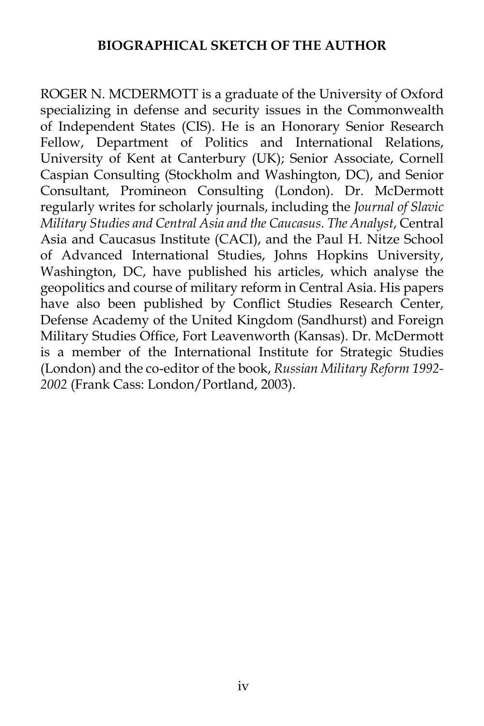### **BIOGRAPHICAL SKETCH OF THE AUTHOR**

ROGER N. MCDERMOTT is a graduate of the University of Oxford specializing in defense and security issues in the Commonwealth of Independent States (CIS). He is an Honorary Senior Research Fellow, Department of Politics and International Relations, University of Kent at Canterbury (UK); Senior Associate, Cornell Caspian Consulting (Stockholm and Washington, DC), and Senior Consultant, Promineon Consulting (London). Dr. McDermott regularly writes for scholarly journals, including the *Journal of Slavic Military Studies and Central Asia and the Caucasus*. *The Analyst*, Central Asia and Caucasus Institute (CACI), and the Paul H. Nitze School of Advanced International Studies, Johns Hopkins University, Washington, DC, have published his articles, which analyse the geopolitics and course of military reform in Central Asia. His papers have also been published by Conflict Studies Research Center, Defense Academy of the United Kingdom (Sandhurst) and Foreign Military Studies Office, Fort Leavenworth (Kansas). Dr. McDermott is a member of the International Institute for Strategic Studies (London) and the co-editor of the book, *Russian Military Reform 1992- 2002* (Frank Cass: London/Portland, 2003).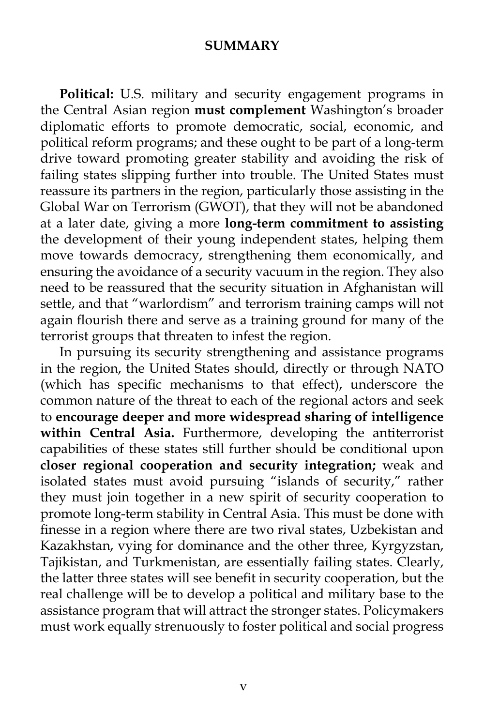#### **SUMMARY**

 **Political:** U.S. military and security engagement programs in the Central Asian region **must complement** Washington's broader diplomatic efforts to promote democratic, social, economic, and political reform programs; and these ought to be part of a long-term drive toward promoting greater stability and avoiding the risk of failing states slipping further into trouble. The United States must reassure its partners in the region, particularly those assisting in the Global War on Terrorism (GWOT), that they will not be abandoned at a later date, giving a more **long-term commitment to assisting** the development of their young independent states, helping them move towards democracy, strengthening them economically, and ensuring the avoidance of a security vacuum in the region. They also need to be reassured that the security situation in Afghanistan will settle, and that "warlordism" and terrorism training camps will not again flourish there and serve as a training ground for many of the terrorist groups that threaten to infest the region.

 In pursuing its security strengthening and assistance programs in the region, the United States should, directly or through NATO (which has specific mechanisms to that effect), underscore the common nature of the threat to each of the regional actors and seek to **encourage deeper and more widespread sharing of intelligence within Central Asia.** Furthermore, developing the antiterrorist capabilities of these states still further should be conditional upon **closer regional cooperation and security integration;** weak and isolated states must avoid pursuing "islands of security," rather they must join together in a new spirit of security cooperation to promote long-term stability in Central Asia. This must be done with finesse in a region where there are two rival states, Uzbekistan and Kazakhstan, vying for dominance and the other three, Kyrgyzstan, Tajikistan, and Turkmenistan, are essentially failing states. Clearly, the latter three states will see benefit in security cooperation, but the real challenge will be to develop a political and military base to the assistance program that will attract the stronger states. Policymakers must work equally strenuously to foster political and social progress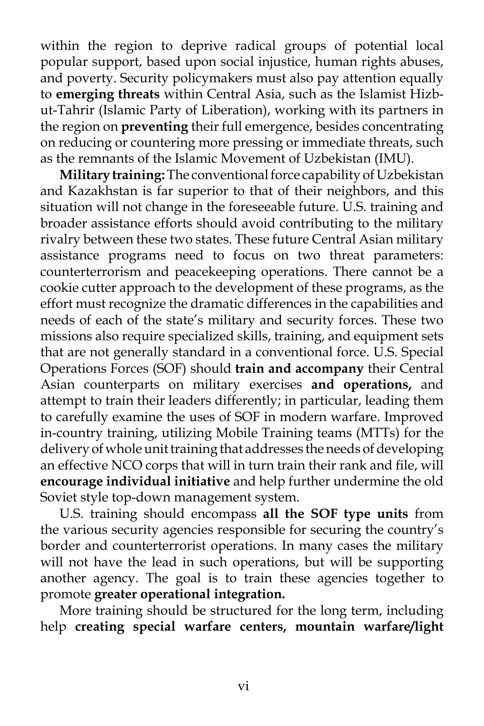within the region to deprive radical groups of potential local popular support, based upon social injustice, human rights abuses, and poverty. Security policymakers must also pay attention equally to **emerging threats** within Central Asia, such as the Islamist Hizbut-Tahrir (Islamic Party of Liberation), working with its partners in the region on **preventing** their full emergence, besides concentrating on reducing or countering more pressing or immediate threats, such as the remnants of the Islamic Movement of Uzbekistan (IMU).

**Military training:**The conventional force capability of Uzbekistan and Kazakhstan is far superior to that of their neighbors, and this situation will not change in the foreseeable future. U.S. training and broader assistance efforts should avoid contributing to the military rivalry between these two states. These future Central Asian military assistance programs need to focus on two threat parameters: counterterrorism and peacekeeping operations. There cannot be a cookie cutter approach to the development of these programs, as the effort must recognize the dramatic differences in the capabilities and needs of each of the state's military and security forces. These two missions also require specialized skills, training, and equipment sets that are not generally standard in a conventional force. U.S. Special Operations Forces (SOF) should **train and accompany** their Central Asian counterparts on military exercises **and operations,** and attempt to train their leaders differently; in particular, leading them to carefully examine the uses of SOF in modern warfare. Improved in-country training, utilizing Mobile Training teams (MTTs) for the delivery of whole unit training that addresses the needs of developing an effective NCO corps that will in turn train their rank and file, will **encourage individual initiative** and help further undermine the old Soviet style top-down management system.

 U.S. training should encompass **all the SOF type units** from the various security agencies responsible for securing the country's border and counterterrorist operations. In many cases the military will not have the lead in such operations, but will be supporting another agency. The goal is to train these agencies together to promote **greater operational integration.**

 More training should be structured for the long term, including help **creating special warfare centers, mountain warfare/light**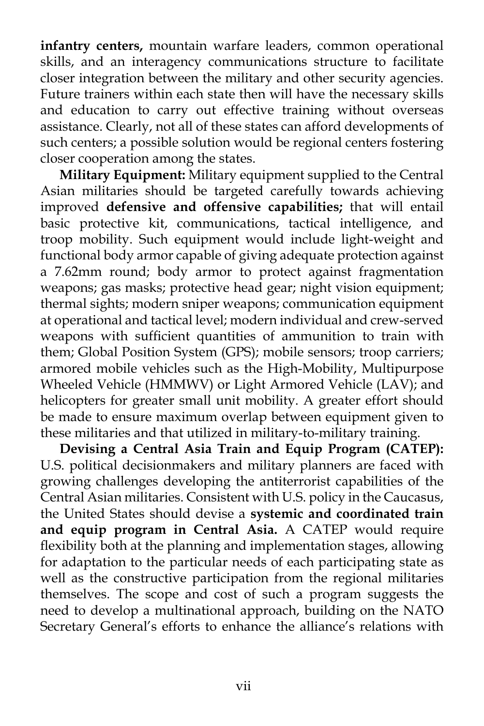**infantry centers,** mountain warfare leaders, common operational skills, and an interagency communications structure to facilitate closer integration between the military and other security agencies. Future trainers within each state then will have the necessary skills and education to carry out effective training without overseas assistance. Clearly, not all of these states can afford developments of such centers; a possible solution would be regional centers fostering closer cooperation among the states.

**Military Equipment:** Military equipment supplied to the Central Asian militaries should be targeted carefully towards achieving improved **defensive and offensive capabilities;** that will entail basic protective kit, communications, tactical intelligence, and troop mobility. Such equipment would include light-weight and functional body armor capable of giving adequate protection against a 7.62mm round; body armor to protect against fragmentation weapons; gas masks; protective head gear; night vision equipment; thermal sights; modern sniper weapons; communication equipment at operational and tactical level; modern individual and crew-served weapons with sufficient quantities of ammunition to train with them; Global Position System (GPS); mobile sensors; troop carriers; armored mobile vehicles such as the High-Mobility, Multipurpose Wheeled Vehicle (HMMWV) or Light Armored Vehicle (LAV); and helicopters for greater small unit mobility. A greater effort should be made to ensure maximum overlap between equipment given to these militaries and that utilized in military-to-military training.

 **Devising a Central Asia Train and Equip Program (CATEP):** U.S. political decisionmakers and military planners are faced with growing challenges developing the antiterrorist capabilities of the Central Asian militaries. Consistent with U.S. policy in the Caucasus, the United States should devise a **systemic and coordinated train and equip program in Central Asia.** A CATEP would require flexibility both at the planning and implementation stages, allowing for adaptation to the particular needs of each participating state as well as the constructive participation from the regional militaries themselves. The scope and cost of such a program suggests the need to develop a multinational approach, building on the NATO Secretary General's efforts to enhance the alliance's relations with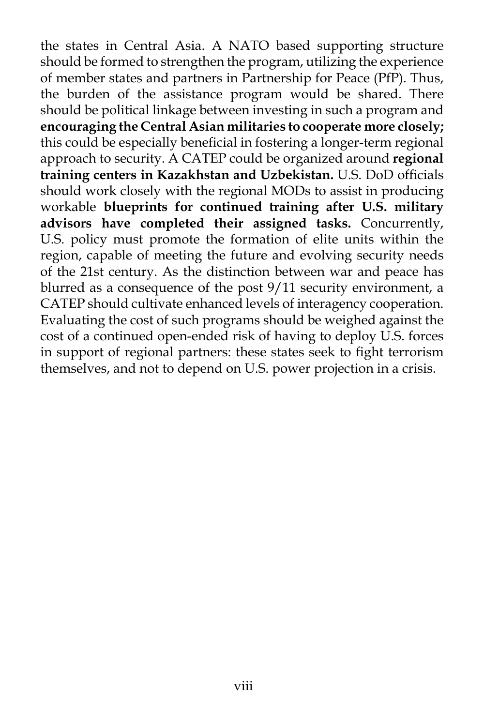the states in Central Asia. A NATO based supporting structure should be formed to strengthen the program, utilizing the experience of member states and partners in Partnership for Peace (PfP). Thus, the burden of the assistance program would be shared. There should be political linkage between investing in such a program and **encouraging the Central Asian militaries to cooperate more closely;** this could be especially beneficial in fostering a longer-term regional approach to security. A CATEP could be organized around **regional training centers in Kazakhstan and Uzbekistan.** U.S. DoD officials should work closely with the regional MODs to assist in producing workable **blueprints for continued training after U.S. military advisors have completed their assigned tasks.** Concurrently, U.S. policy must promote the formation of elite units within the region, capable of meeting the future and evolving security needs of the 21st century. As the distinction between war and peace has blurred as a consequence of the post 9/11 security environment, a CATEP should cultivate enhanced levels of interagency cooperation. Evaluating the cost of such programs should be weighed against the cost of a continued open-ended risk of having to deploy U.S. forces in support of regional partners: these states seek to fight terrorism themselves, and not to depend on U.S. power projection in a crisis.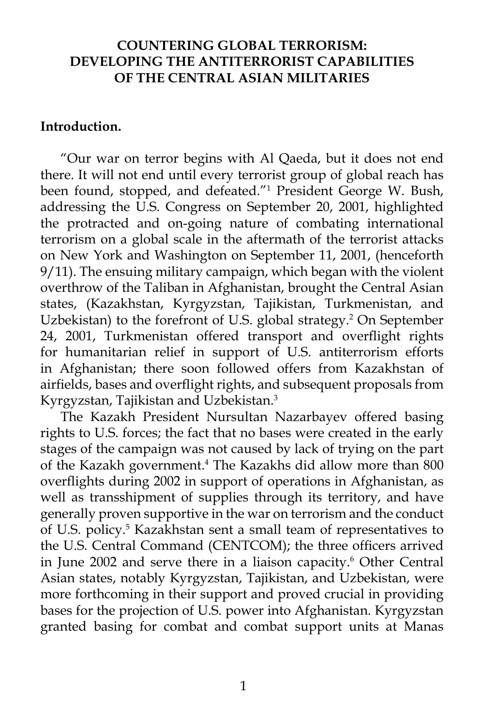### **COUNTERING GLOBAL TERRORISM: DEVELOPING THE ANTITERRORIST CAPABILITIES OF THE CENTRAL ASIAN MILITARIES**

#### **Introduction.**

 "Our war on terror begins with Al Qaeda, but it does not end there. It will not end until every terrorist group of global reach has been found, stopped, and defeated."1 President George W. Bush, addressing the U.S. Congress on September 20, 2001, highlighted the protracted and on-going nature of combating international terrorism on a global scale in the aftermath of the terrorist attacks on New York and Washington on September 11, 2001, (henceforth 9/11). The ensuing military campaign, which began with the violent overthrow of the Taliban in Afghanistan, brought the Central Asian states, (Kazakhstan, Kyrgyzstan, Tajikistan, Turkmenistan, and Uzbekistan) to the forefront of U.S. global strategy.<sup>2</sup> On September 24, 2001, Turkmenistan offered transport and overflight rights for humanitarian relief in support of U.S. antiterrorism efforts in Afghanistan; there soon followed offers from Kazakhstan of airfields, bases and overflight rights, and subsequent proposals from Kyrgyzstan, Tajikistan and Uzbekistan.3

 The Kazakh President Nursultan Nazarbayev offered basing rights to U.S. forces; the fact that no bases were created in the early stages of the campaign was not caused by lack of trying on the part of the Kazakh government.<sup>4</sup> The Kazakhs did allow more than 800 overflights during 2002 in support of operations in Afghanistan, as well as transshipment of supplies through its territory, and have generally proven supportive in the war on terrorism and the conduct of U.S. policy.<sup>5</sup> Kazakhstan sent a small team of representatives to the U.S. Central Command (CENTCOM); the three officers arrived in June 2002 and serve there in a liaison capacity.<sup>6</sup> Other Central Asian states, notably Kyrgyzstan, Tajikistan, and Uzbekistan, were more forthcoming in their support and proved crucial in providing bases for the projection of U.S. power into Afghanistan. Kyrgyzstan granted basing for combat and combat support units at Manas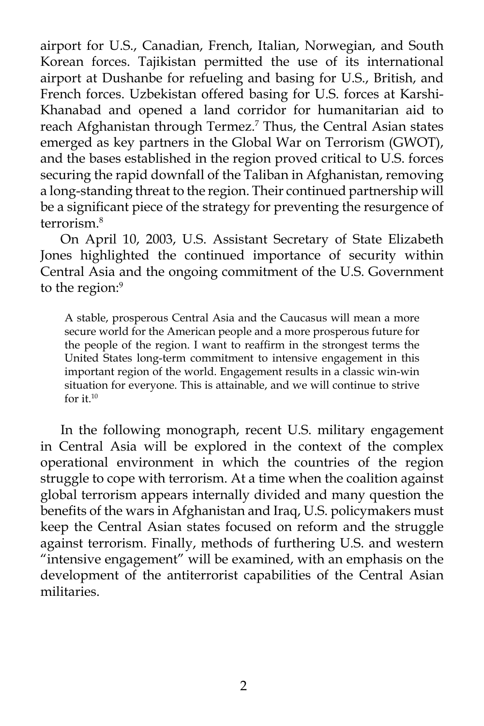airport for U.S., Canadian, French, Italian, Norwegian, and South Korean forces. Tajikistan permitted the use of its international airport at Dushanbe for refueling and basing for U.S., British, and French forces. Uzbekistan offered basing for U.S. forces at Karshi-Khanabad and opened a land corridor for humanitarian aid to reach Afghanistan through Termez.7 Thus, the Central Asian states emerged as key partners in the Global War on Terrorism (GWOT), and the bases established in the region proved critical to U.S. forces securing the rapid downfall of the Taliban in Afghanistan, removing a long-standing threat to the region. Their continued partnership will be a significant piece of the strategy for preventing the resurgence of terrorism.8

 On April 10, 2003, U.S. Assistant Secretary of State Elizabeth Jones highlighted the continued importance of security within Central Asia and the ongoing commitment of the U.S. Government to the region:<sup>9</sup>

A stable, prosperous Central Asia and the Caucasus will mean a more secure world for the American people and a more prosperous future for the people of the region. I want to reaffirm in the strongest terms the United States long-term commitment to intensive engagement in this important region of the world. Engagement results in a classic win-win situation for everyone. This is attainable, and we will continue to strive for it.10

 In the following monograph, recent U.S. military engagement in Central Asia will be explored in the context of the complex operational environment in which the countries of the region struggle to cope with terrorism. At a time when the coalition against global terrorism appears internally divided and many question the benefits of the wars in Afghanistan and Iraq, U.S. policymakers must keep the Central Asian states focused on reform and the struggle against terrorism. Finally, methods of furthering U.S. and western "intensive engagement" will be examined, with an emphasis on the development of the antiterrorist capabilities of the Central Asian militaries.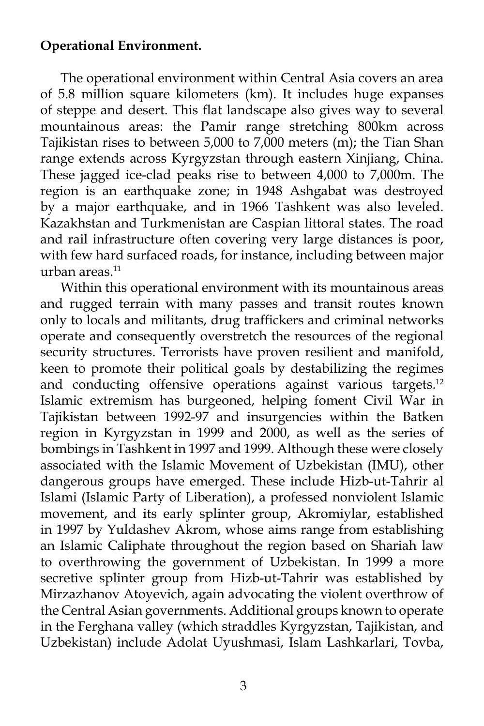## **Operational Environment.**

 The operational environment within Central Asia covers an area of 5.8 million square kilometers (km). It includes huge expanses of steppe and desert. This flat landscape also gives way to several mountainous areas: the Pamir range stretching 800km across Tajikistan rises to between 5,000 to 7,000 meters (m); the Tian Shan range extends across Kyrgyzstan through eastern Xinjiang, China. These jagged ice-clad peaks rise to between 4,000 to 7,000m. The region is an earthquake zone; in 1948 Ashgabat was destroyed by a major earthquake, and in 1966 Tashkent was also leveled. Kazakhstan and Turkmenistan are Caspian littoral states. The road and rail infrastructure often covering very large distances is poor, with few hard surfaced roads, for instance, including between major urban areas. $11$ 

 Within this operational environment with its mountainous areas and rugged terrain with many passes and transit routes known only to locals and militants, drug traffickers and criminal networks operate and consequently overstretch the resources of the regional security structures. Terrorists have proven resilient and manifold, keen to promote their political goals by destabilizing the regimes and conducting offensive operations against various targets.<sup>12</sup> Islamic extremism has burgeoned, helping foment Civil War in Tajikistan between 1992-97 and insurgencies within the Batken region in Kyrgyzstan in 1999 and 2000, as well as the series of bombings in Tashkent in 1997 and 1999. Although these were closely associated with the Islamic Movement of Uzbekistan (IMU), other dangerous groups have emerged. These include Hizb-ut-Tahrir al Islami (Islamic Party of Liberation), a professed nonviolent Islamic movement, and its early splinter group, Akromiylar, established in 1997 by Yuldashev Akrom, whose aims range from establishing an Islamic Caliphate throughout the region based on Shariah law to overthrowing the government of Uzbekistan. In 1999 a more secretive splinter group from Hizb-ut-Tahrir was established by Mirzazhanov Atoyevich, again advocating the violent overthrow of the Central Asian governments. Additional groups known to operate in the Ferghana valley (which straddles Kyrgyzstan, Tajikistan, and Uzbekistan) include Adolat Uyushmasi, Islam Lashkarlari, Tovba,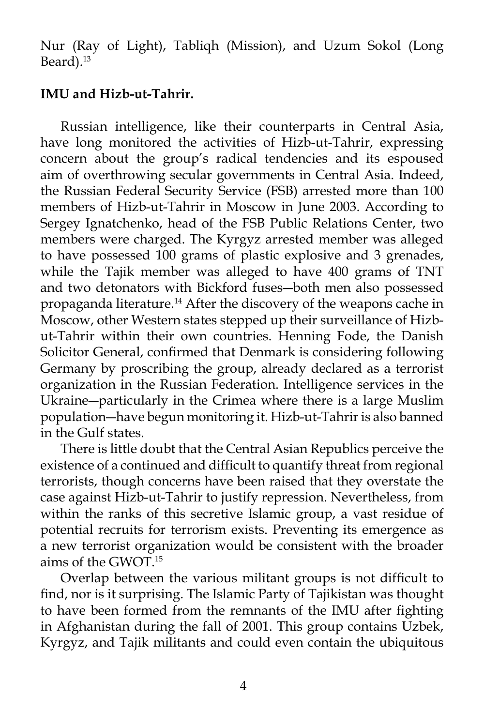Nur (Ray of Light), Tabliqh (Mission), and Uzum Sokol (Long Beard).<sup>13</sup>

#### **IMU and Hizb-ut-Tahrir.**

 Russian intelligence, like their counterparts in Central Asia, have long monitored the activities of Hizb-ut-Tahrir, expressing concern about the group's radical tendencies and its espoused aim of overthrowing secular governments in Central Asia. Indeed, the Russian Federal Security Service (FSB) arrested more than 100 members of Hizb-ut-Tahrir in Moscow in June 2003. According to Sergey Ignatchenko, head of the FSB Public Relations Center, two members were charged. The Kyrgyz arrested member was alleged to have possessed 100 grams of plastic explosive and 3 grenades, while the Tajik member was alleged to have 400 grams of TNT and two detonators with Bickford fuses―both men also possessed propaganda literature.14 After the discovery of the weapons cache in Moscow, other Western states stepped up their surveillance of Hizbut-Tahrir within their own countries. Henning Fode, the Danish Solicitor General, confirmed that Denmark is considering following Germany by proscribing the group, already declared as a terrorist organization in the Russian Federation. Intelligence services in the Ukraine―particularly in the Crimea where there is a large Muslim population―have begun monitoring it. Hizb-ut-Tahrir is also banned in the Gulf states.

 There is little doubt that the Central Asian Republics perceive the existence of a continued and difficult to quantify threat from regional terrorists, though concerns have been raised that they overstate the case against Hizb-ut-Tahrir to justify repression. Nevertheless, from within the ranks of this secretive Islamic group, a vast residue of potential recruits for terrorism exists. Preventing its emergence as a new terrorist organization would be consistent with the broader aims of the GWOT.15

 Overlap between the various militant groups is not difficult to find, nor is it surprising. The Islamic Party of Tajikistan was thought to have been formed from the remnants of the IMU after fighting in Afghanistan during the fall of 2001. This group contains Uzbek, Kyrgyz, and Tajik militants and could even contain the ubiquitous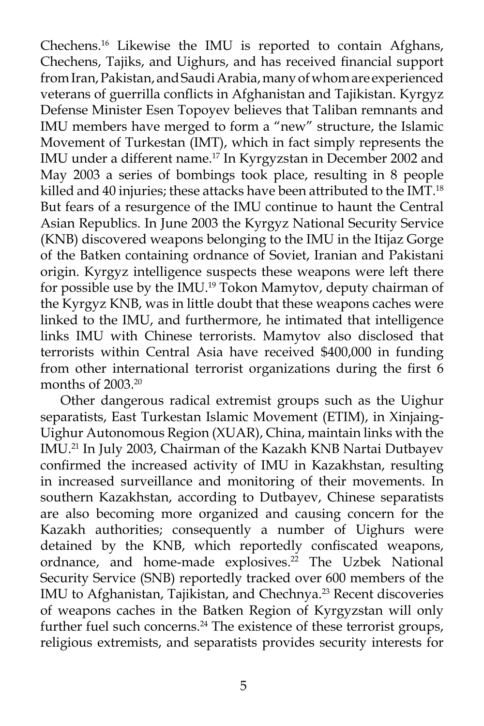Chechens.16 Likewise the IMU is reported to contain Afghans, Chechens, Tajiks, and Uighurs, and has received financial support from Iran, Pakistan, and Saudi Arabia, many of whom are experienced veterans of guerrilla conflicts in Afghanistan and Tajikistan. Kyrgyz Defense Minister Esen Topoyev believes that Taliban remnants and IMU members have merged to form a "new" structure, the Islamic Movement of Turkestan (IMT), which in fact simply represents the IMU under a different name.<sup>17</sup> In Kyrgyzstan in December 2002 and May 2003 a series of bombings took place, resulting in 8 people killed and 40 injuries; these attacks have been attributed to the IMT.<sup>18</sup> But fears of a resurgence of the IMU continue to haunt the Central Asian Republics. In June 2003 the Kyrgyz National Security Service (KNB) discovered weapons belonging to the IMU in the Itijaz Gorge of the Batken containing ordnance of Soviet, Iranian and Pakistani origin. Kyrgyz intelligence suspects these weapons were left there for possible use by the IMU.19 Tokon Mamytov, deputy chairman of the Kyrgyz KNB, was in little doubt that these weapons caches were linked to the IMU, and furthermore, he intimated that intelligence links IMU with Chinese terrorists. Mamytov also disclosed that terrorists within Central Asia have received \$400,000 in funding from other international terrorist organizations during the first 6 months of 2003.20

 Other dangerous radical extremist groups such as the Uighur separatists, East Turkestan Islamic Movement (ETIM), in Xinjaing-Uighur Autonomous Region (XUAR), China, maintain links with the IMU.21 In July 2003, Chairman of the Kazakh KNB Nartai Dutbayev confirmed the increased activity of IMU in Kazakhstan, resulting in increased surveillance and monitoring of their movements. In southern Kazakhstan, according to Dutbayev, Chinese separatists are also becoming more organized and causing concern for the Kazakh authorities; consequently a number of Uighurs were detained by the KNB, which reportedly confiscated weapons, ordnance, and home-made explosives.<sup>22</sup> The Uzbek National Security Service (SNB) reportedly tracked over 600 members of the IMU to Afghanistan, Tajikistan, and Chechnya.<sup>23</sup> Recent discoveries of weapons caches in the Batken Region of Kyrgyzstan will only further fuel such concerns.<sup>24</sup> The existence of these terrorist groups, religious extremists, and separatists provides security interests for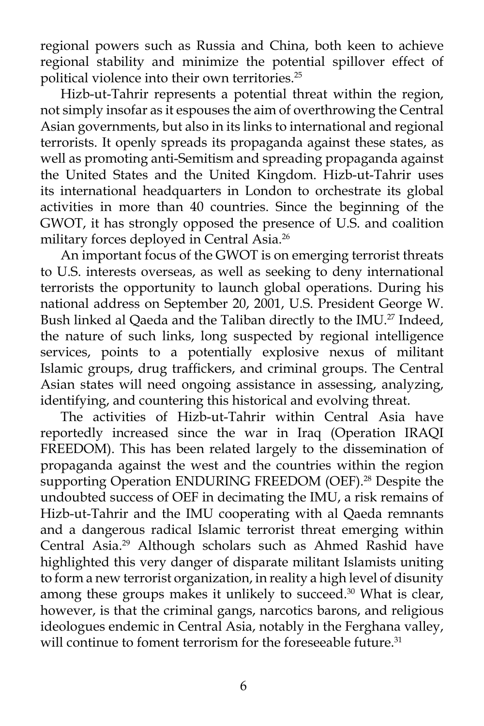regional powers such as Russia and China, both keen to achieve regional stability and minimize the potential spillover effect of political violence into their own territories.<sup>25</sup>

 Hizb-ut-Tahrir represents a potential threat within the region, not simply insofar as it espouses the aim of overthrowing the Central Asian governments, but also in its links to international and regional terrorists. It openly spreads its propaganda against these states, as well as promoting anti-Semitism and spreading propaganda against the United States and the United Kingdom. Hizb-ut-Tahrir uses its international headquarters in London to orchestrate its global activities in more than 40 countries. Since the beginning of the GWOT, it has strongly opposed the presence of U.S. and coalition military forces deployed in Central Asia.<sup>26</sup>

An important focus of the GWOT is on emerging terrorist threats to U.S. interests overseas, as well as seeking to deny international terrorists the opportunity to launch global operations. During his national address on September 20, 2001, U.S. President George W. Bush linked al Qaeda and the Taliban directly to the IMU.<sup>27</sup> Indeed, the nature of such links, long suspected by regional intelligence services, points to a potentially explosive nexus of militant Islamic groups, drug traffickers, and criminal groups. The Central Asian states will need ongoing assistance in assessing, analyzing, identifying, and countering this historical and evolving threat.

 The activities of Hizb-ut-Tahrir within Central Asia have reportedly increased since the war in Iraq (Operation IRAQI FREEDOM). This has been related largely to the dissemination of propaganda against the west and the countries within the region supporting Operation ENDURING FREEDOM (OEF).<sup>28</sup> Despite the undoubted success of OEF in decimating the IMU, a risk remains of Hizb-ut-Tahrir and the IMU cooperating with al Qaeda remnants and a dangerous radical Islamic terrorist threat emerging within Central Asia.29 Although scholars such as Ahmed Rashid have highlighted this very danger of disparate militant Islamists uniting to form a new terrorist organization, in reality a high level of disunity among these groups makes it unlikely to succeed.<sup>30</sup> What is clear, however, is that the criminal gangs, narcotics barons, and religious ideologues endemic in Central Asia, notably in the Ferghana valley, will continue to foment terrorism for the foreseeable future.<sup>31</sup>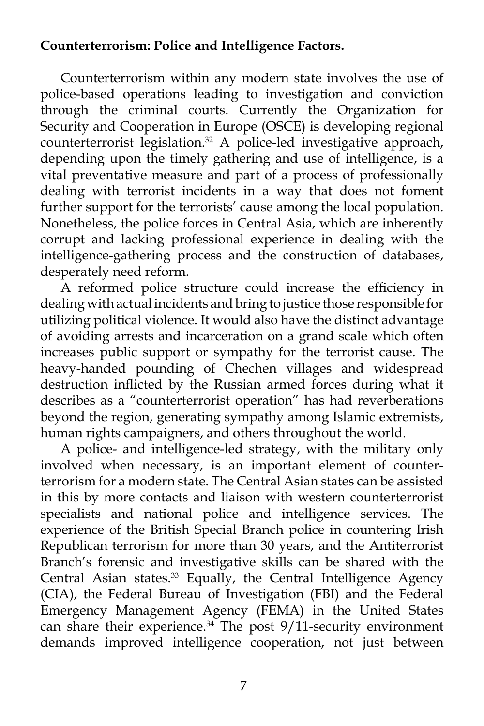## **Counterterrorism: Police and Intelligence Factors.**

 Counterterrorism within any modern state involves the use of police-based operations leading to investigation and conviction through the criminal courts. Currently the Organization for Security and Cooperation in Europe (OSCE) is developing regional counterterrorist legislation.<sup>32</sup> A police-led investigative approach, depending upon the timely gathering and use of intelligence, is a vital preventative measure and part of a process of professionally dealing with terrorist incidents in a way that does not foment further support for the terrorists' cause among the local population. Nonetheless, the police forces in Central Asia, which are inherently corrupt and lacking professional experience in dealing with the intelligence-gathering process and the construction of databases, desperately need reform.

 A reformed police structure could increase the efficiency in dealing with actual incidents and bring to justice those responsible for utilizing political violence. It would also have the distinct advantage of avoiding arrests and incarceration on a grand scale which often increases public support or sympathy for the terrorist cause. The heavy-handed pounding of Chechen villages and widespread destruction inflicted by the Russian armed forces during what it describes as a "counterterrorist operation" has had reverberations beyond the region, generating sympathy among Islamic extremists, human rights campaigners, and others throughout the world.

 A police- and intelligence-led strategy, with the military only involved when necessary, is an important element of counterterrorism for a modern state. The Central Asian states can be assisted in this by more contacts and liaison with western counterterrorist specialists and national police and intelligence services. The experience of the British Special Branch police in countering Irish Republican terrorism for more than 30 years, and the Antiterrorist Branch's forensic and investigative skills can be shared with the Central Asian states.<sup>33</sup> Equally, the Central Intelligence Agency (CIA), the Federal Bureau of Investigation (FBI) and the Federal Emergency Management Agency (FEMA) in the United States can share their experience.<sup>34</sup> The post 9/11-security environment demands improved intelligence cooperation, not just between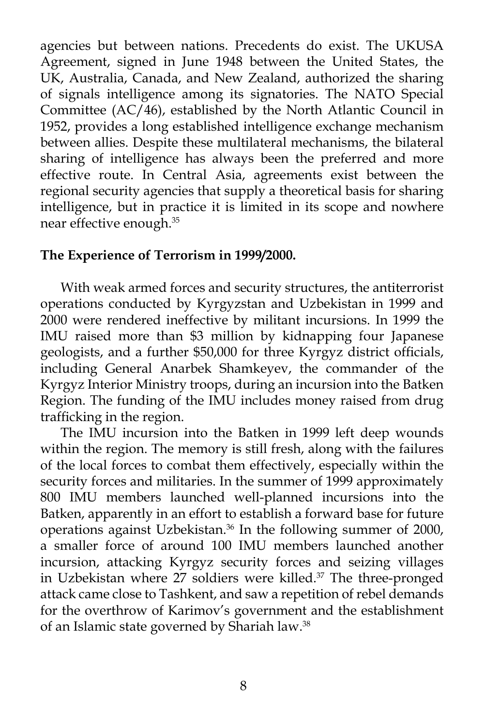agencies but between nations. Precedents do exist. The UKUSA Agreement, signed in June 1948 between the United States, the UK, Australia, Canada, and New Zealand, authorized the sharing of signals intelligence among its signatories. The NATO Special Committee (AC/46), established by the North Atlantic Council in 1952, provides a long established intelligence exchange mechanism between allies. Despite these multilateral mechanisms, the bilateral sharing of intelligence has always been the preferred and more effective route. In Central Asia, agreements exist between the regional security agencies that supply a theoretical basis for sharing intelligence, but in practice it is limited in its scope and nowhere near effective enough.35

#### **The Experience of Terrorism in 1999/2000.**

 With weak armed forces and security structures, the antiterrorist operations conducted by Kyrgyzstan and Uzbekistan in 1999 and 2000 were rendered ineffective by militant incursions. In 1999 the IMU raised more than \$3 million by kidnapping four Japanese geologists, and a further \$50,000 for three Kyrgyz district officials, including General Anarbek Shamkeyev, the commander of the Kyrgyz Interior Ministry troops, during an incursion into the Batken Region. The funding of the IMU includes money raised from drug trafficking in the region.

 The IMU incursion into the Batken in 1999 left deep wounds within the region. The memory is still fresh, along with the failures of the local forces to combat them effectively, especially within the security forces and militaries. In the summer of 1999 approximately 800 IMU members launched well-planned incursions into the Batken, apparently in an effort to establish a forward base for future operations against Uzbekistan.36 In the following summer of 2000, a smaller force of around 100 IMU members launched another incursion, attacking Kyrgyz security forces and seizing villages in Uzbekistan where 27 soldiers were killed.37 The three-pronged attack came close to Tashkent, and saw a repetition of rebel demands for the overthrow of Karimov's government and the establishment of an Islamic state governed by Shariah law.<sup>38</sup>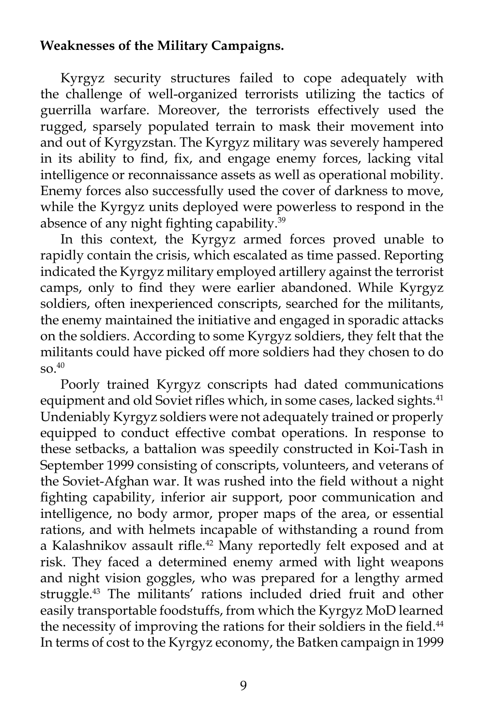### **Weaknesses of the Military Campaigns.**

 Kyrgyz security structures failed to cope adequately with the challenge of well-organized terrorists utilizing the tactics of guerrilla warfare. Moreover, the terrorists effectively used the rugged, sparsely populated terrain to mask their movement into and out of Kyrgyzstan. The Kyrgyz military was severely hampered in its ability to find, fix, and engage enemy forces, lacking vital intelligence or reconnaissance assets as well as operational mobility. Enemy forces also successfully used the cover of darkness to move, while the Kyrgyz units deployed were powerless to respond in the absence of any night fighting capability.<sup>39</sup>

 In this context, the Kyrgyz armed forces proved unable to rapidly contain the crisis, which escalated as time passed. Reporting indicated the Kyrgyz military employed artillery against the terrorist camps, only to find they were earlier abandoned. While Kyrgyz soldiers, often inexperienced conscripts, searched for the militants, the enemy maintained the initiative and engaged in sporadic attacks on the soldiers. According to some Kyrgyz soldiers, they felt that the militants could have picked off more soldiers had they chosen to do so.40

 Poorly trained Kyrgyz conscripts had dated communications equipment and old Soviet rifles which, in some cases, lacked sights.<sup>41</sup> Undeniably Kyrgyz soldiers were not adequately trained or properly equipped to conduct effective combat operations. In response to these setbacks, a battalion was speedily constructed in Koi-Tash in September 1999 consisting of conscripts, volunteers, and veterans of the Soviet-Afghan war. It was rushed into the field without a night fighting capability, inferior air support, poor communication and intelligence, no body armor, proper maps of the area, or essential rations, and with helmets incapable of withstanding a round from a Kalashnikov assault rifle.<sup>42</sup> Many reportedly felt exposed and at risk. They faced a determined enemy armed with light weapons and night vision goggles, who was prepared for a lengthy armed struggle.43 The militants' rations included dried fruit and other easily transportable foodstuffs, from which the Kyrgyz MoD learned the necessity of improving the rations for their soldiers in the field.<sup>44</sup> In terms of cost to the Kyrgyz economy, the Batken campaign in 1999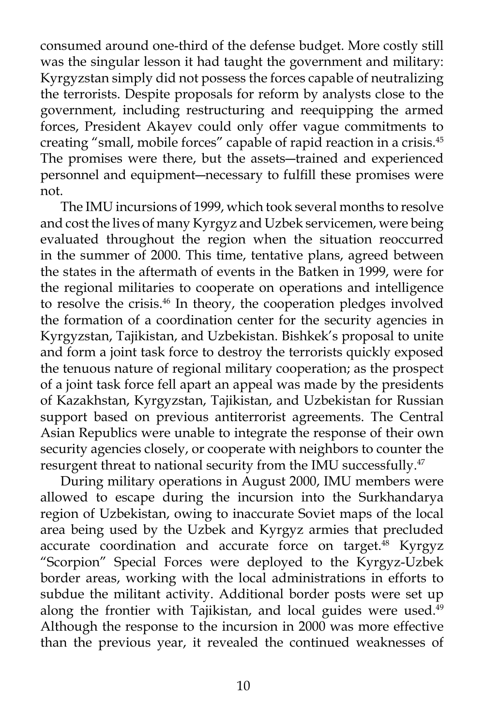consumed around one-third of the defense budget. More costly still was the singular lesson it had taught the government and military: Kyrgyzstan simply did not possess the forces capable of neutralizing the terrorists. Despite proposals for reform by analysts close to the government, including restructuring and reequipping the armed forces, President Akayev could only offer vague commitments to creating "small, mobile forces" capable of rapid reaction in a crisis.45 The promises were there, but the assets―trained and experienced personnel and equipment―necessary to fulfill these promises were not.

 The IMU incursions of 1999, which took several months to resolve and cost the lives of many Kyrgyz and Uzbek servicemen, were being evaluated throughout the region when the situation reoccurred in the summer of 2000. This time, tentative plans, agreed between the states in the aftermath of events in the Batken in 1999, were for the regional militaries to cooperate on operations and intelligence to resolve the crisis.46 In theory, the cooperation pledges involved the formation of a coordination center for the security agencies in Kyrgyzstan, Tajikistan, and Uzbekistan. Bishkek's proposal to unite and form a joint task force to destroy the terrorists quickly exposed the tenuous nature of regional military cooperation; as the prospect of a joint task force fell apart an appeal was made by the presidents of Kazakhstan, Kyrgyzstan, Tajikistan, and Uzbekistan for Russian support based on previous antiterrorist agreements. The Central Asian Republics were unable to integrate the response of their own security agencies closely, or cooperate with neighbors to counter the resurgent threat to national security from the IMU successfully.<sup>47</sup>

 During military operations in August 2000, IMU members were allowed to escape during the incursion into the Surkhandarya region of Uzbekistan, owing to inaccurate Soviet maps of the local area being used by the Uzbek and Kyrgyz armies that precluded accurate coordination and accurate force on target.<sup>48</sup> Kyrgyz "Scorpion" Special Forces were deployed to the Kyrgyz-Uzbek border areas, working with the local administrations in efforts to subdue the militant activity. Additional border posts were set up along the frontier with Tajikistan, and local guides were used.<sup>49</sup> Although the response to the incursion in 2000 was more effective than the previous year, it revealed the continued weaknesses of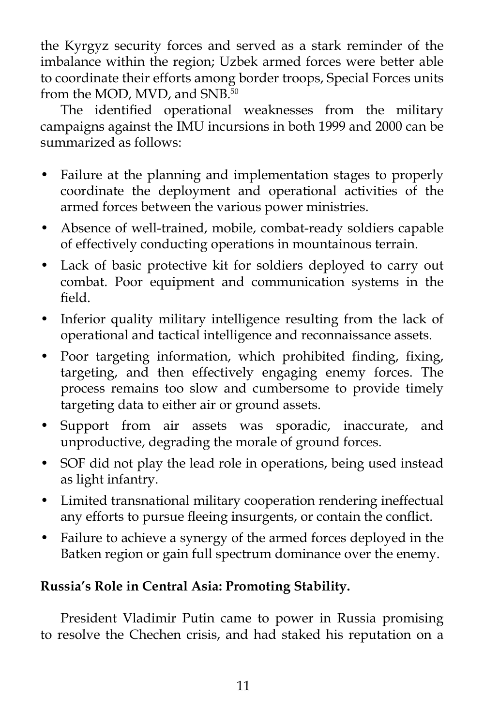the Kyrgyz security forces and served as a stark reminder of the imbalance within the region; Uzbek armed forces were better able to coordinate their efforts among border troops, Special Forces units from the MOD, MVD, and SNB.<sup>50</sup>

 The identified operational weaknesses from the military campaigns against the IMU incursions in both 1999 and 2000 can be summarized as follows:

- Failure at the planning and implementation stages to properly coordinate the deployment and operational activities of the armed forces between the various power ministries.
- Absence of well-trained, mobile, combat-ready soldiers capable of effectively conducting operations in mountainous terrain.
- Lack of basic protective kit for soldiers deployed to carry out combat. Poor equipment and communication systems in the field.
- Inferior quality military intelligence resulting from the lack of operational and tactical intelligence and reconnaissance assets.
- Poor targeting information, which prohibited finding, fixing, targeting, and then effectively engaging enemy forces. The process remains too slow and cumbersome to provide timely targeting data to either air or ground assets.
- Support from air assets was sporadic, inaccurate, and unproductive, degrading the morale of ground forces.
- SOF did not play the lead role in operations, being used instead as light infantry.
- Limited transnational military cooperation rendering ineffectual any efforts to pursue fleeing insurgents, or contain the conflict.
- Failure to achieve a synergy of the armed forces deployed in the Batken region or gain full spectrum dominance over the enemy.

## **Russia's Role in Central Asia: Promoting Stability.**

 President Vladimir Putin came to power in Russia promising to resolve the Chechen crisis, and had staked his reputation on a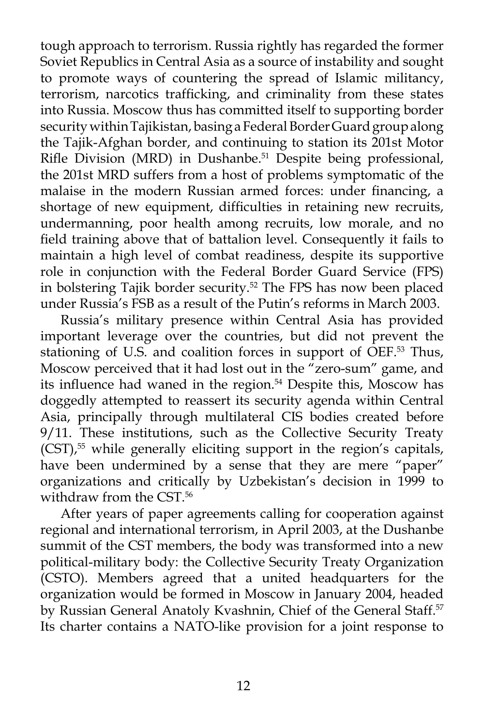tough approach to terrorism. Russia rightly has regarded the former Soviet Republics in Central Asia as a source of instability and sought to promote ways of countering the spread of Islamic militancy, terrorism, narcotics trafficking, and criminality from these states into Russia. Moscow thus has committed itself to supporting border security within Tajikistan, basing a Federal Border Guard group along the Tajik-Afghan border, and continuing to station its 201st Motor Rifle Division (MRD) in Dushanbe.<sup>51</sup> Despite being professional, the 201st MRD suffers from a host of problems symptomatic of the malaise in the modern Russian armed forces: under financing, a shortage of new equipment, difficulties in retaining new recruits, undermanning, poor health among recruits, low morale, and no field training above that of battalion level. Consequently it fails to maintain a high level of combat readiness, despite its supportive role in conjunction with the Federal Border Guard Service (FPS) in bolstering Tajik border security.<sup>52</sup> The FPS has now been placed under Russia's FSB as a result of the Putin's reforms in March 2003.

 Russia's military presence within Central Asia has provided important leverage over the countries, but did not prevent the stationing of U.S. and coalition forces in support of OEF.<sup>53</sup> Thus, Moscow perceived that it had lost out in the "zero-sum" game, and its influence had waned in the region.<sup>54</sup> Despite this, Moscow has doggedly attempted to reassert its security agenda within Central Asia, principally through multilateral CIS bodies created before 9/11. These institutions, such as the Collective Security Treaty (CST),<sup>55</sup> while generally eliciting support in the region's capitals, have been undermined by a sense that they are mere "paper" organizations and critically by Uzbekistan's decision in 1999 to withdraw from the CST.<sup>56</sup>

 After years of paper agreements calling for cooperation against regional and international terrorism, in April 2003, at the Dushanbe summit of the CST members, the body was transformed into a new political-military body: the Collective Security Treaty Organization (CSTO). Members agreed that a united headquarters for the organization would be formed in Moscow in January 2004, headed by Russian General Anatoly Kvashnin, Chief of the General Staff.<sup>57</sup> Its charter contains a NATO-like provision for a joint response to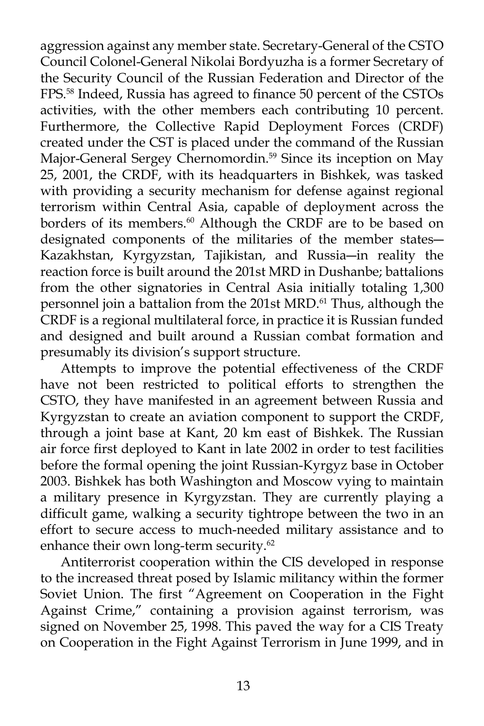aggression against any member state. Secretary-General of the CSTO Council Colonel-General Nikolai Bordyuzha is a former Secretary of the Security Council of the Russian Federation and Director of the FPS.58 Indeed, Russia has agreed to finance 50 percent of the CSTOs activities, with the other members each contributing 10 percent. Furthermore, the Collective Rapid Deployment Forces (CRDF) created under the CST is placed under the command of the Russian Major-General Sergey Chernomordin.<sup>59</sup> Since its inception on May 25, 2001, the CRDF, with its headquarters in Bishkek, was tasked with providing a security mechanism for defense against regional terrorism within Central Asia, capable of deployment across the borders of its members.<sup>60</sup> Although the CRDF are to be based on designated components of the militaries of the member states― Kazakhstan, Kyrgyzstan, Tajikistan, and Russia―in reality the reaction force is built around the 201st MRD in Dushanbe; battalions from the other signatories in Central Asia initially totaling 1,300 personnel join a battalion from the 201st MRD.<sup>61</sup> Thus, although the CRDF is a regional multilateral force, in practice it is Russian funded and designed and built around a Russian combat formation and presumably its division's support structure.

Attempts to improve the potential effectiveness of the CRDF have not been restricted to political efforts to strengthen the CSTO, they have manifested in an agreement between Russia and Kyrgyzstan to create an aviation component to support the CRDF, through a joint base at Kant, 20 km east of Bishkek. The Russian air force first deployed to Kant in late 2002 in order to test facilities before the formal opening the joint Russian-Kyrgyz base in October 2003. Bishkek has both Washington and Moscow vying to maintain a military presence in Kyrgyzstan. They are currently playing a difficult game, walking a security tightrope between the two in an effort to secure access to much-needed military assistance and to enhance their own long-term security.<sup>62</sup>

Antiterrorist cooperation within the CIS developed in response to the increased threat posed by Islamic militancy within the former Soviet Union. The first "Agreement on Cooperation in the Fight Against Crime," containing a provision against terrorism, was signed on November 25, 1998. This paved the way for a CIS Treaty on Cooperation in the Fight Against Terrorism in June 1999, and in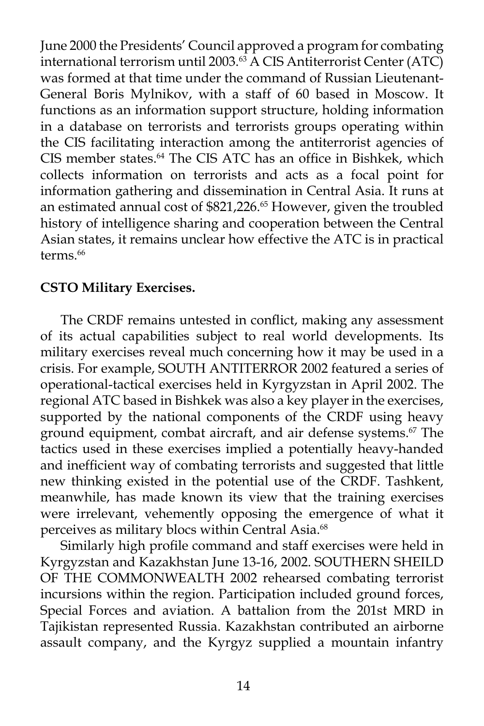June 2000 the Presidents' Council approved a program for combating international terrorism until 2003. $^{63}$  A CIS Antiterrorist Center (ATC) was formed at that time under the command of Russian Lieutenant-General Boris Mylnikov, with a staff of 60 based in Moscow. It functions as an information support structure, holding information in a database on terrorists and terrorists groups operating within the CIS facilitating interaction among the antiterrorist agencies of CIS member states.<sup>64</sup> The CIS ATC has an office in Bishkek, which collects information on terrorists and acts as a focal point for information gathering and dissemination in Central Asia. It runs at an estimated annual cost of \$821,226.<sup>65</sup> However, given the troubled history of intelligence sharing and cooperation between the Central Asian states, it remains unclear how effective the ATC is in practical terms.<sup>66</sup>

## **CSTO Military Exercises.**

 The CRDF remains untested in conflict, making any assessment of its actual capabilities subject to real world developments. Its military exercises reveal much concerning how it may be used in a crisis. For example, SOUTH ANTITERROR 2002 featured a series of operational-tactical exercises held in Kyrgyzstan in April 2002. The regional ATC based in Bishkek was also a key player in the exercises, supported by the national components of the CRDF using heavy ground equipment, combat aircraft, and air defense systems.<sup>67</sup> The tactics used in these exercises implied a potentially heavy-handed and inefficient way of combating terrorists and suggested that little new thinking existed in the potential use of the CRDF. Tashkent, meanwhile, has made known its view that the training exercises were irrelevant, vehemently opposing the emergence of what it perceives as military blocs within Central Asia.<sup>68</sup>

 Similarly high profile command and staff exercises were held in Kyrgyzstan and Kazakhstan June 13-16, 2002. SOUTHERN SHEILD OF THE COMMONWEALTH 2002 rehearsed combating terrorist incursions within the region. Participation included ground forces, Special Forces and aviation. A battalion from the 201st MRD in Tajikistan represented Russia. Kazakhstan contributed an airborne assault company, and the Kyrgyz supplied a mountain infantry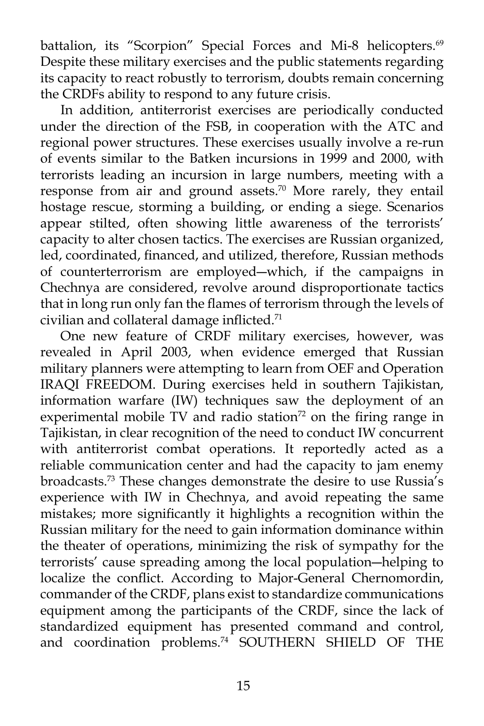battalion, its "Scorpion" Special Forces and Mi-8 helicopters.<sup>69</sup> Despite these military exercises and the public statements regarding its capacity to react robustly to terrorism, doubts remain concerning the CRDFs ability to respond to any future crisis.

 In addition, antiterrorist exercises are periodically conducted under the direction of the FSB, in cooperation with the ATC and regional power structures. These exercises usually involve a re-run of events similar to the Batken incursions in 1999 and 2000, with terrorists leading an incursion in large numbers, meeting with a response from air and ground assets.<sup>70</sup> More rarely, they entail hostage rescue, storming a building, or ending a siege. Scenarios appear stilted, often showing little awareness of the terrorists' capacity to alter chosen tactics. The exercises are Russian organized, led, coordinated, financed, and utilized, therefore, Russian methods of counterterrorism are employed―which, if the campaigns in Chechnya are considered, revolve around disproportionate tactics that in long run only fan the flames of terrorism through the levels of civilian and collateral damage inflicted.71

 One new feature of CRDF military exercises, however, was revealed in April 2003, when evidence emerged that Russian military planners were attempting to learn from OEF and Operation IRAQI FREEDOM. During exercises held in southern Tajikistan, information warfare (IW) techniques saw the deployment of an experimental mobile TV and radio station $72$  on the firing range in Tajikistan, in clear recognition of the need to conduct IW concurrent with antiterrorist combat operations. It reportedly acted as a reliable communication center and had the capacity to jam enemy broadcasts.73 These changes demonstrate the desire to use Russia's experience with IW in Chechnya, and avoid repeating the same mistakes; more significantly it highlights a recognition within the Russian military for the need to gain information dominance within the theater of operations, minimizing the risk of sympathy for the terrorists' cause spreading among the local population―helping to localize the conflict. According to Major-General Chernomordin, commander of the CRDF, plans exist to standardize communications equipment among the participants of the CRDF, since the lack of standardized equipment has presented command and control, and coordination problems.<sup>74</sup> SOUTHERN SHIELD OF THE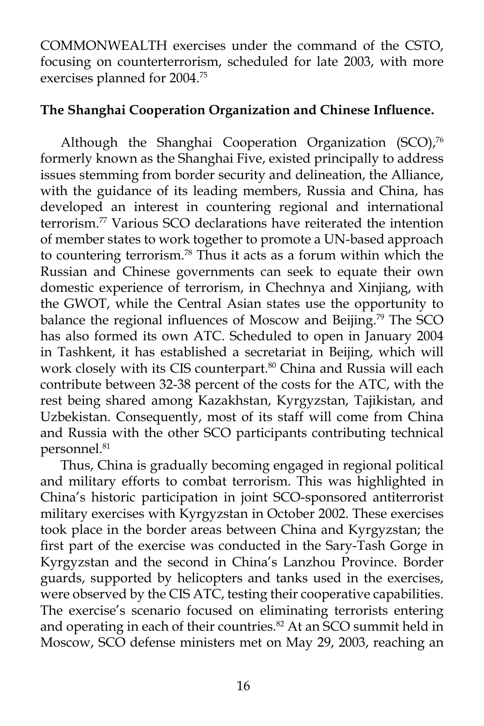COMMONWEALTH exercises under the command of the CSTO, focusing on counterterrorism, scheduled for late 2003, with more exercises planned for 2004.75

### **The Shanghai Cooperation Organization and Chinese Influence.**

Although the Shanghai Cooperation Organization (SCO),<sup>76</sup> formerly known as the Shanghai Five, existed principally to address issues stemming from border security and delineation, the Alliance, with the guidance of its leading members, Russia and China, has developed an interest in countering regional and international terrorism.77 Various SCO declarations have reiterated the intention of member states to work together to promote a UN-based approach to countering terrorism.78 Thus it acts as a forum within which the Russian and Chinese governments can seek to equate their own domestic experience of terrorism, in Chechnya and Xinjiang, with the GWOT, while the Central Asian states use the opportunity to balance the regional influences of Moscow and Beijing.<sup>79</sup> The SCO has also formed its own ATC. Scheduled to open in January 2004 in Tashkent, it has established a secretariat in Beijing, which will work closely with its CIS counterpart.<sup>80</sup> China and Russia will each contribute between 32-38 percent of the costs for the ATC, with the rest being shared among Kazakhstan, Kyrgyzstan, Tajikistan, and Uzbekistan. Consequently, most of its staff will come from China and Russia with the other SCO participants contributing technical personnel.81

 Thus, China is gradually becoming engaged in regional political and military efforts to combat terrorism. This was highlighted in China's historic participation in joint SCO-sponsored antiterrorist military exercises with Kyrgyzstan in October 2002. These exercises took place in the border areas between China and Kyrgyzstan; the first part of the exercise was conducted in the Sary-Tash Gorge in Kyrgyzstan and the second in China's Lanzhou Province. Border guards, supported by helicopters and tanks used in the exercises, were observed by the CIS ATC, testing their cooperative capabilities. The exercise's scenario focused on eliminating terrorists entering and operating in each of their countries.<sup>82</sup> At an SCO summit held in Moscow, SCO defense ministers met on May 29, 2003, reaching an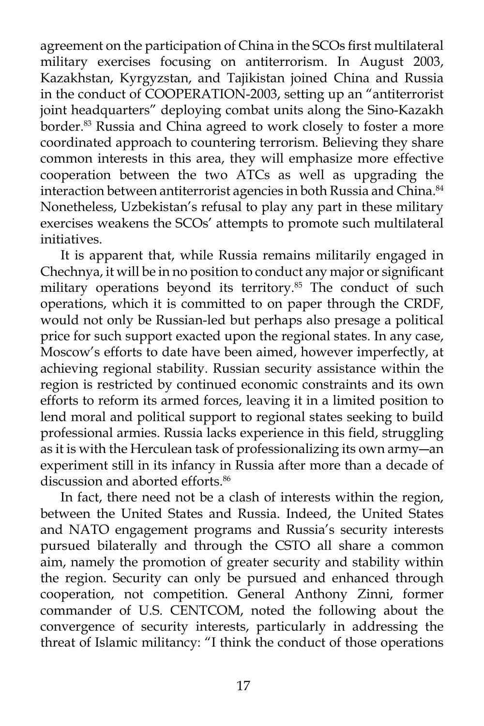agreement on the participation of China in the SCOs first multilateral military exercises focusing on antiterrorism. In August 2003, Kazakhstan, Kyrgyzstan, and Tajikistan joined China and Russia in the conduct of COOPERATION-2003, setting up an "antiterrorist joint headquarters" deploying combat units along the Sino-Kazakh border.<sup>83</sup> Russia and China agreed to work closely to foster a more coordinated approach to countering terrorism. Believing they share common interests in this area, they will emphasize more effective cooperation between the two ATCs as well as upgrading the interaction between antiterrorist agencies in both Russia and China.<sup>84</sup> Nonetheless, Uzbekistan's refusal to play any part in these military exercises weakens the SCOs' attempts to promote such multilateral initiatives.

 It is apparent that, while Russia remains militarily engaged in Chechnya, it will be in no position to conduct any major or significant military operations beyond its territory.<sup>85</sup> The conduct of such operations, which it is committed to on paper through the CRDF, would not only be Russian-led but perhaps also presage a political price for such support exacted upon the regional states. In any case, Moscow's efforts to date have been aimed, however imperfectly, at achieving regional stability. Russian security assistance within the region is restricted by continued economic constraints and its own efforts to reform its armed forces, leaving it in a limited position to lend moral and political support to regional states seeking to build professional armies. Russia lacks experience in this field, struggling as it is with the Herculean task of professionalizing its own army―an experiment still in its infancy in Russia after more than a decade of discussion and aborted efforts.<sup>86</sup>

 In fact, there need not be a clash of interests within the region, between the United States and Russia. Indeed, the United States and NATO engagement programs and Russia's security interests pursued bilaterally and through the CSTO all share a common aim, namely the promotion of greater security and stability within the region. Security can only be pursued and enhanced through cooperation, not competition. General Anthony Zinni, former commander of U.S. CENTCOM, noted the following about the convergence of security interests, particularly in addressing the threat of Islamic militancy: "I think the conduct of those operations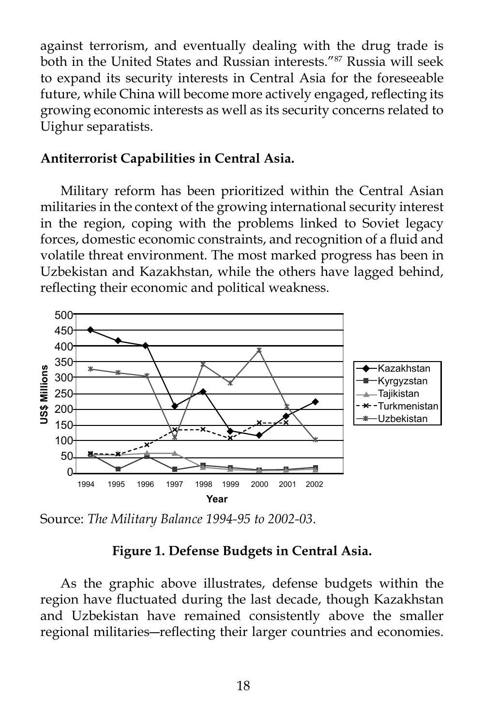against terrorism, and eventually dealing with the drug trade is both in the United States and Russian interests."87 Russia will seek to expand its security interests in Central Asia for the foreseeable future, while China will become more actively engaged, reflecting its growing economic interests as well as its security concerns related to Uighur separatists.

#### **Antiterrorist Capabilities in Central Asia.**

 Military reform has been prioritized within the Central Asian militaries in the context of the growing international security interest in the region, coping with the problems linked to Soviet legacy forces, domestic economic constraints, and recognition of a fluid and volatile threat environment. The most marked progress has been in Uzbekistan and Kazakhstan, while the others have lagged behind, reflecting their economic and political weakness.



Source: *The Military Balance 1994-95 to 2002-03*.

### **Figure 1. Defense Budgets in Central Asia.**

 As the graphic above illustrates, defense budgets within the region have fluctuated during the last decade, though Kazakhstan and Uzbekistan have remained consistently above the smaller regional militaries―reflecting their larger countries and economies.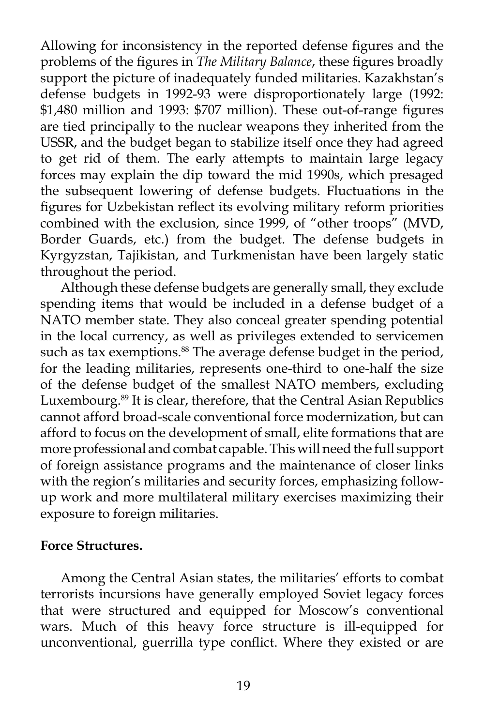Allowing for inconsistency in the reported defense figures and the problems of the figures in *The Military Balance*, these figures broadly support the picture of inadequately funded militaries. Kazakhstan's defense budgets in 1992-93 were disproportionately large (1992: \$1,480 million and 1993: \$707 million). These out-of-range figures are tied principally to the nuclear weapons they inherited from the USSR, and the budget began to stabilize itself once they had agreed to get rid of them. The early attempts to maintain large legacy forces may explain the dip toward the mid 1990s, which presaged the subsequent lowering of defense budgets. Fluctuations in the figures for Uzbekistan reflect its evolving military reform priorities combined with the exclusion, since 1999, of "other troops" (MVD, Border Guards, etc.) from the budget. The defense budgets in Kyrgyzstan, Tajikistan, and Turkmenistan have been largely static throughout the period.

 Although these defense budgets are generally small, they exclude spending items that would be included in a defense budget of a NATO member state. They also conceal greater spending potential in the local currency, as well as privileges extended to servicemen such as tax exemptions.<sup>88</sup> The average defense budget in the period, for the leading militaries, represents one-third to one-half the size of the defense budget of the smallest NATO members, excluding Luxembourg.<sup>89</sup> It is clear, therefore, that the Central Asian Republics cannot afford broad-scale conventional force modernization, but can afford to focus on the development of small, elite formations that are more professional and combat capable. This will need the full support of foreign assistance programs and the maintenance of closer links with the region's militaries and security forces, emphasizing followup work and more multilateral military exercises maximizing their exposure to foreign militaries.

#### **Force Structures.**

 Among the Central Asian states, the militaries' efforts to combat terrorists incursions have generally employed Soviet legacy forces that were structured and equipped for Moscow's conventional wars. Much of this heavy force structure is ill-equipped for unconventional, guerrilla type conflict. Where they existed or are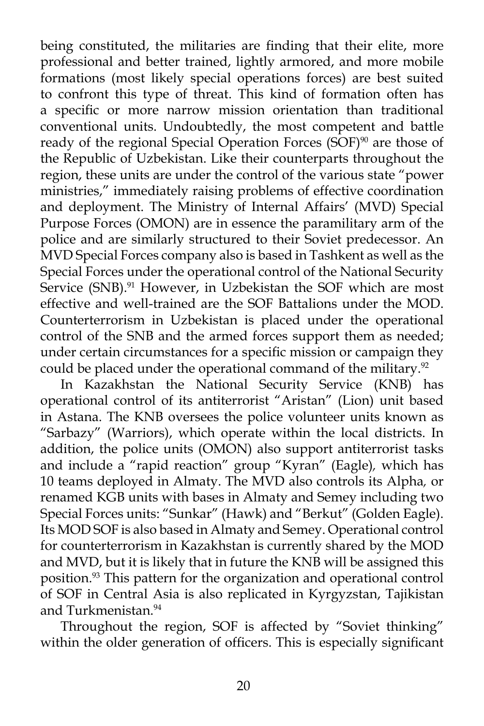being constituted, the militaries are finding that their elite, more professional and better trained, lightly armored, and more mobile formations (most likely special operations forces) are best suited to confront this type of threat. This kind of formation often has a specific or more narrow mission orientation than traditional conventional units. Undoubtedly, the most competent and battle ready of the regional Special Operation Forces (SOF)<sup>90</sup> are those of the Republic of Uzbekistan. Like their counterparts throughout the region, these units are under the control of the various state "power ministries," immediately raising problems of effective coordination and deployment. The Ministry of Internal Affairs' (MVD) Special Purpose Forces (OMON) are in essence the paramilitary arm of the police and are similarly structured to their Soviet predecessor. An MVD Special Forces company also is based in Tashkent as well as the Special Forces under the operational control of the National Security Service (SNB).<sup>91</sup> However, in Uzbekistan the SOF which are most effective and well-trained are the SOF Battalions under the MOD. Counterterrorism in Uzbekistan is placed under the operational control of the SNB and the armed forces support them as needed; under certain circumstances for a specific mission or campaign they could be placed under the operational command of the military.<sup>92</sup>

 In Kazakhstan the National Security Service (KNB) has operational control of its antiterrorist "Aristan" (Lion) unit based in Astana. The KNB oversees the police volunteer units known as "Sarbazy" (Warriors), which operate within the local districts. In addition, the police units (OMON) also support antiterrorist tasks and include a "rapid reaction" group "Kyran" (Eagle)*,* which has 10 teams deployed in Almaty. The MVD also controls its Alpha*,* or renamed KGB units with bases in Almaty and Semey including two Special Forces units: "Sunkar" (Hawk) and "Berkut" (Golden Eagle). Its MOD SOF is also based in Almaty and Semey. Operational control for counterterrorism in Kazakhstan is currently shared by the MOD and MVD, but it is likely that in future the KNB will be assigned this position.93 This pattern for the organization and operational control of SOF in Central Asia is also replicated in Kyrgyzstan, Tajikistan and Turkmenistan.<sup>94</sup>

 Throughout the region, SOF is affected by "Soviet thinking" within the older generation of officers. This is especially significant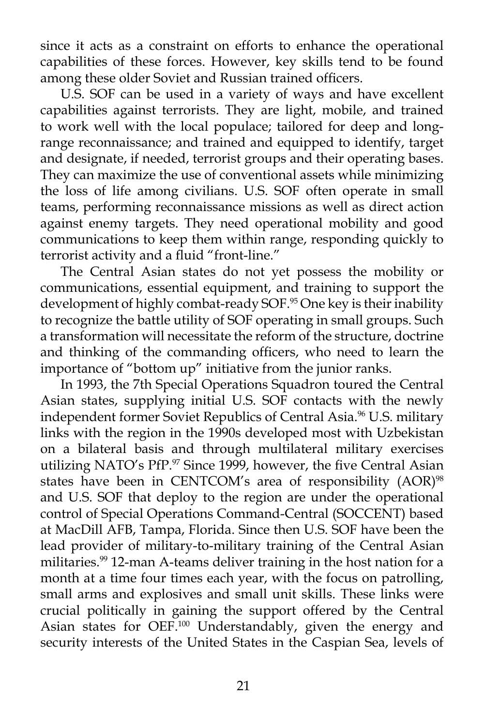since it acts as a constraint on efforts to enhance the operational capabilities of these forces. However, key skills tend to be found among these older Soviet and Russian trained officers.

U.S. SOF can be used in a variety of ways and have excellent capabilities against terrorists. They are light, mobile, and trained to work well with the local populace; tailored for deep and longrange reconnaissance; and trained and equipped to identify, target and designate, if needed, terrorist groups and their operating bases. They can maximize the use of conventional assets while minimizing the loss of life among civilians. U.S. SOF often operate in small teams, performing reconnaissance missions as well as direct action against enemy targets. They need operational mobility and good communications to keep them within range, responding quickly to terrorist activity and a fluid "front-line."

 The Central Asian states do not yet possess the mobility or communications, essential equipment, and training to support the development of highly combat-ready SOF.<sup>95</sup> One key is their inability to recognize the battle utility of SOF operating in small groups. Such a transformation will necessitate the reform of the structure, doctrine and thinking of the commanding officers, who need to learn the importance of "bottom up" initiative from the junior ranks.

 In 1993, the 7th Special Operations Squadron toured the Central Asian states, supplying initial U.S. SOF contacts with the newly independent former Soviet Republics of Central Asia.<sup>96</sup> U.S. military links with the region in the 1990s developed most with Uzbekistan on a bilateral basis and through multilateral military exercises utilizing NATO's PfP.<sup>97</sup> Since 1999, however, the five Central Asian states have been in CENTCOM's area of responsibility (AOR)<sup>98</sup> and U.S. SOF that deploy to the region are under the operational control of Special Operations Command-Central (SOCCENT) based at MacDill AFB, Tampa, Florida. Since then U.S. SOF have been the lead provider of military-to-military training of the Central Asian militaries.<sup>99</sup> 12-man A-teams deliver training in the host nation for a month at a time four times each year, with the focus on patrolling, small arms and explosives and small unit skills. These links were crucial politically in gaining the support offered by the Central Asian states for OEF.<sup>100</sup> Understandably, given the energy and security interests of the United States in the Caspian Sea, levels of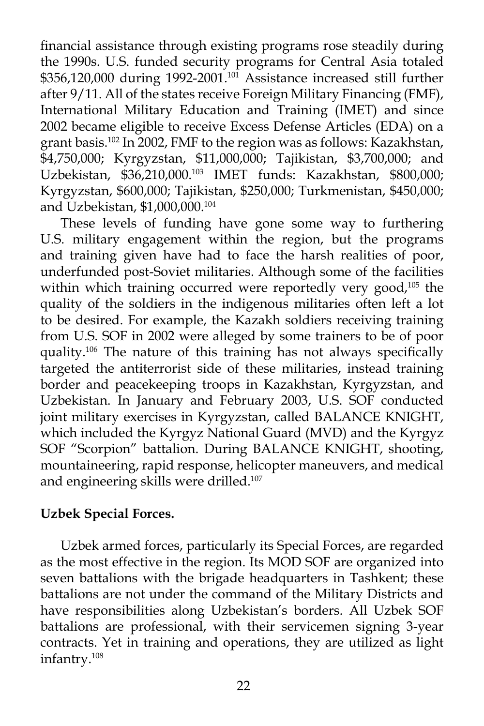financial assistance through existing programs rose steadily during the 1990s. U.S. funded security programs for Central Asia totaled  $$356,120,000$  during 1992-2001.<sup>101</sup> Assistance increased still further after 9/11. All of the states receive Foreign Military Financing (FMF), International Military Education and Training (IMET) and since 2002 became eligible to receive Excess Defense Articles (EDA) on a grant basis.<sup>102</sup> In 2002, FMF to the region was as follows: Kazakhstan, \$4,750,000; Kyrgyzstan, \$11,000,000; Tajikistan, \$3,700,000; and Uzbekistan, \$36,210,000.103 IMET funds: Kazakhstan, \$800,000; Kyrgyzstan, \$600,000; Tajikistan, \$250,000; Turkmenistan, \$450,000; and Uzbekistan, \$1,000,000.104

 These levels of funding have gone some way to furthering U.S. military engagement within the region, but the programs and training given have had to face the harsh realities of poor, underfunded post-Soviet militaries. Although some of the facilities within which training occurred were reportedly very good,<sup>105</sup> the quality of the soldiers in the indigenous militaries often left a lot to be desired. For example, the Kazakh soldiers receiving training from U.S. SOF in 2002 were alleged by some trainers to be of poor quality.106 The nature of this training has not always specifically targeted the antiterrorist side of these militaries, instead training border and peacekeeping troops in Kazakhstan, Kyrgyzstan, and Uzbekistan. In January and February 2003, U.S. SOF conducted joint military exercises in Kyrgyzstan, called BALANCE KNIGHT, which included the Kyrgyz National Guard (MVD) and the Kyrgyz SOF "Scorpion" battalion. During BALANCE KNIGHT, shooting, mountaineering, rapid response, helicopter maneuvers, and medical and engineering skills were drilled.<sup>107</sup>

## **Uzbek Special Forces.**

 Uzbek armed forces, particularly its Special Forces, are regarded as the most effective in the region. Its MOD SOF are organized into seven battalions with the brigade headquarters in Tashkent; these battalions are not under the command of the Military Districts and have responsibilities along Uzbekistan's borders. All Uzbek SOF battalions are professional, with their servicemen signing 3-year contracts. Yet in training and operations, they are utilized as light infantry.108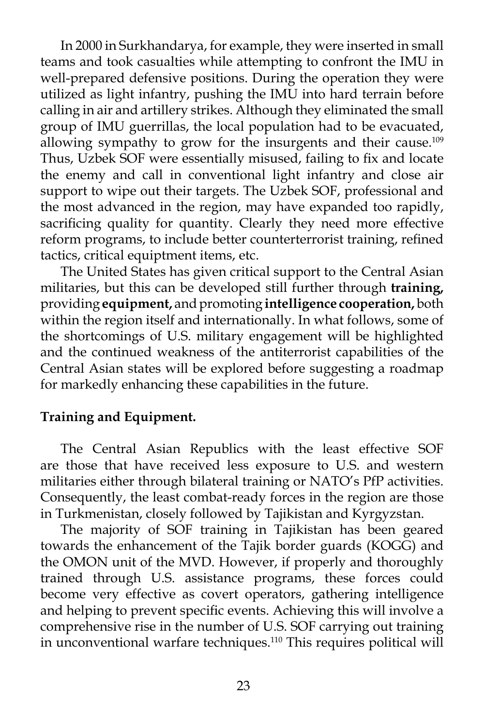In 2000 in Surkhandarya, for example, they were inserted in small teams and took casualties while attempting to confront the IMU in well-prepared defensive positions. During the operation they were utilized as light infantry, pushing the IMU into hard terrain before calling in air and artillery strikes. Although they eliminated the small group of IMU guerrillas, the local population had to be evacuated, allowing sympathy to grow for the insurgents and their cause.<sup>109</sup> Thus, Uzbek SOF were essentially misused, failing to fix and locate the enemy and call in conventional light infantry and close air support to wipe out their targets. The Uzbek SOF, professional and the most advanced in the region, may have expanded too rapidly, sacrificing quality for quantity. Clearly they need more effective reform programs, to include better counterterrorist training, refined tactics, critical equiptment items, etc.

 The United States has given critical support to the Central Asian militaries, but this can be developed still further through **training,** providing **equipment,** and promoting **intelligence cooperation,** both within the region itself and internationally. In what follows, some of the shortcomings of U.S. military engagement will be highlighted and the continued weakness of the antiterrorist capabilities of the Central Asian states will be explored before suggesting a roadmap for markedly enhancing these capabilities in the future.

#### **Training and Equipment.**

 The Central Asian Republics with the least effective SOF are those that have received less exposure to U.S. and western militaries either through bilateral training or NATO's PfP activities. Consequently, the least combat-ready forces in the region are those in Turkmenistan, closely followed by Tajikistan and Kyrgyzstan.

 The majority of SOF training in Tajikistan has been geared towards the enhancement of the Tajik border guards (KOGG) and the OMON unit of the MVD. However, if properly and thoroughly trained through U.S. assistance programs, these forces could become very effective as covert operators, gathering intelligence and helping to prevent specific events. Achieving this will involve a comprehensive rise in the number of U.S. SOF carrying out training in unconventional warfare techniques.<sup>110</sup> This requires political will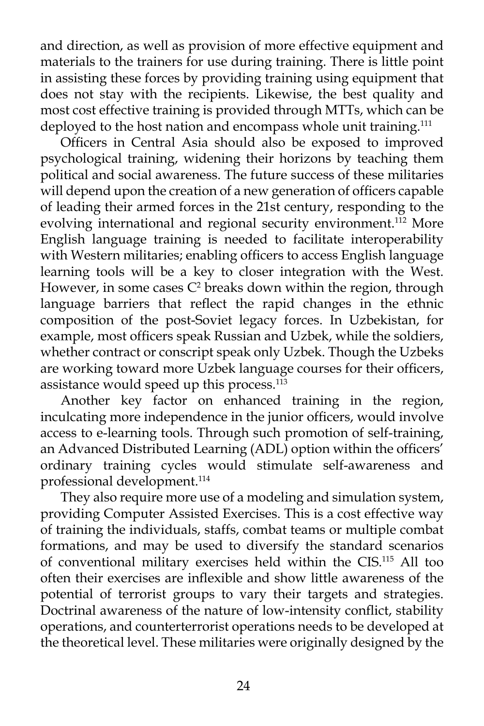and direction, as well as provision of more effective equipment and materials to the trainers for use during training. There is little point in assisting these forces by providing training using equipment that does not stay with the recipients. Likewise, the best quality and most cost effective training is provided through MTTs, which can be deployed to the host nation and encompass whole unit training.<sup>111</sup>

 Officers in Central Asia should also be exposed to improved psychological training, widening their horizons by teaching them political and social awareness. The future success of these militaries will depend upon the creation of a new generation of officers capable of leading their armed forces in the 21st century, responding to the evolving international and regional security environment.<sup>112</sup> More English language training is needed to facilitate interoperability with Western militaries; enabling officers to access English language learning tools will be a key to closer integration with the West. However, in some cases  $C^2$  breaks down within the region, through language barriers that reflect the rapid changes in the ethnic composition of the post-Soviet legacy forces. In Uzbekistan, for example, most officers speak Russian and Uzbek, while the soldiers, whether contract or conscript speak only Uzbek. Though the Uzbeks are working toward more Uzbek language courses for their officers, assistance would speed up this process.<sup>113</sup>

 Another key factor on enhanced training in the region, inculcating more independence in the junior officers, would involve access to e-learning tools. Through such promotion of self-training, an Advanced Distributed Learning (ADL) option within the officers' ordinary training cycles would stimulate self-awareness and professional development.<sup>114</sup>

 They also require more use of a modeling and simulation system, providing Computer Assisted Exercises. This is a cost effective way of training the individuals, staffs, combat teams or multiple combat formations, and may be used to diversify the standard scenarios of conventional military exercises held within the CIS.115 All too often their exercises are inflexible and show little awareness of the potential of terrorist groups to vary their targets and strategies. Doctrinal awareness of the nature of low-intensity conflict, stability operations, and counterterrorist operations needs to be developed at the theoretical level. These militaries were originally designed by the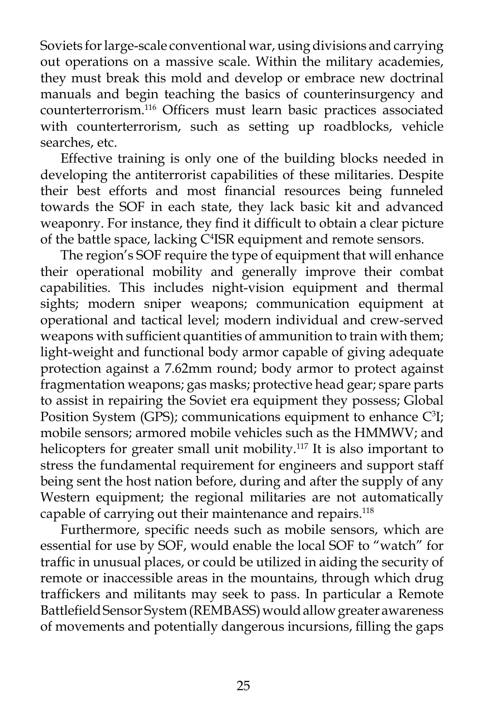Soviets for large-scale conventional war, using divisions and carrying out operations on a massive scale. Within the military academies, they must break this mold and develop or embrace new doctrinal manuals and begin teaching the basics of counterinsurgency and counterterrorism.116 Officers must learn basic practices associated with counterterrorism, such as setting up roadblocks, vehicle searches, etc.

 Effective training is only one of the building blocks needed in developing the antiterrorist capabilities of these militaries. Despite their best efforts and most financial resources being funneled towards the SOF in each state, they lack basic kit and advanced weaponry. For instance, they find it difficult to obtain a clear picture of the battle space, lacking C<sup>4</sup>ISR equipment and remote sensors.

 The region's SOF require the type of equipment that will enhance their operational mobility and generally improve their combat capabilities. This includes night-vision equipment and thermal sights; modern sniper weapons; communication equipment at operational and tactical level; modern individual and crew-served weapons with sufficient quantities of ammunition to train with them; light-weight and functional body armor capable of giving adequate protection against a 7.62mm round; body armor to protect against fragmentation weapons; gas masks; protective head gear; spare parts to assist in repairing the Soviet era equipment they possess; Global Position System (GPS); communications equipment to enhance  $C^3I$ ; mobile sensors; armored mobile vehicles such as the HMMWV; and helicopters for greater small unit mobility.<sup>117</sup> It is also important to stress the fundamental requirement for engineers and support staff being sent the host nation before, during and after the supply of any Western equipment; the regional militaries are not automatically capable of carrying out their maintenance and repairs.<sup>118</sup>

 Furthermore, specific needs such as mobile sensors, which are essential for use by SOF, would enable the local SOF to "watch" for traffic in unusual places, or could be utilized in aiding the security of remote or inaccessible areas in the mountains, through which drug traffickers and militants may seek to pass. In particular a Remote Battlefield Sensor System (REMBASS) would allow greater awareness of movements and potentially dangerous incursions, filling the gaps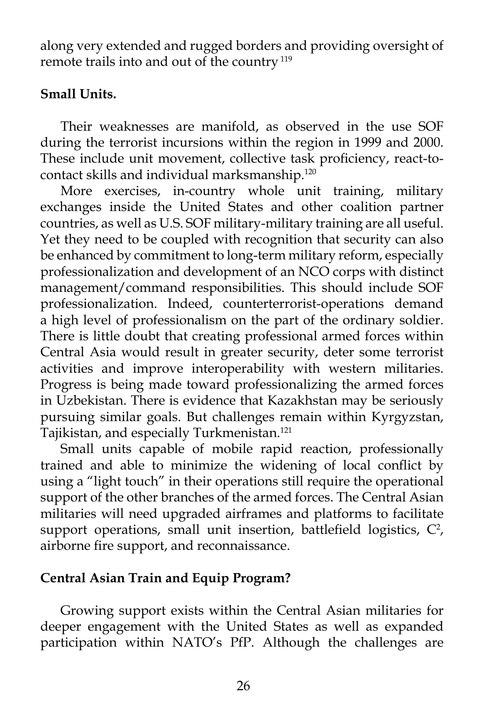along very extended and rugged borders and providing oversight of remote trails into and out of the country<sup>119</sup>

### **Small Units.**

 Their weaknesses are manifold, as observed in the use SOF during the terrorist incursions within the region in 1999 and 2000. These include unit movement, collective task proficiency, react-tocontact skills and individual marksmanship.120

 More exercises, in-country whole unit training, military exchanges inside the United States and other coalition partner countries, as well as U.S. SOF military-military training are all useful. Yet they need to be coupled with recognition that security can also be enhanced by commitment to long-term military reform, especially professionalization and development of an NCO corps with distinct management/command responsibilities. This should include SOF professionalization. Indeed, counterterrorist-operations demand a high level of professionalism on the part of the ordinary soldier. There is little doubt that creating professional armed forces within Central Asia would result in greater security, deter some terrorist activities and improve interoperability with western militaries. Progress is being made toward professionalizing the armed forces in Uzbekistan. There is evidence that Kazakhstan may be seriously pursuing similar goals. But challenges remain within Kyrgyzstan, Tajikistan, and especially Turkmenistan.<sup>121</sup>

 Small units capable of mobile rapid reaction, professionally trained and able to minimize the widening of local conflict by using a "light touch" in their operations still require the operational support of the other branches of the armed forces. The Central Asian militaries will need upgraded airframes and platforms to facilitate support operations, small unit insertion, battlefield logistics,  $C^2$ , airborne fire support, and reconnaissance.

## **Central Asian Train and Equip Program?**

 Growing support exists within the Central Asian militaries for deeper engagement with the United States as well as expanded participation within NATO's PfP. Although the challenges are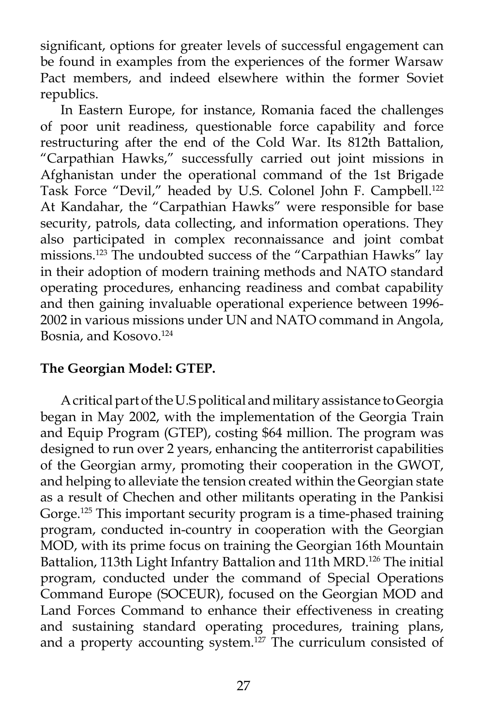significant, options for greater levels of successful engagement can be found in examples from the experiences of the former Warsaw Pact members, and indeed elsewhere within the former Soviet republics.

 In Eastern Europe, for instance, Romania faced the challenges of poor unit readiness, questionable force capability and force restructuring after the end of the Cold War. Its 812th Battalion, "Carpathian Hawks," successfully carried out joint missions in Afghanistan under the operational command of the 1st Brigade Task Force "Devil," headed by U.S. Colonel John F. Campbell.<sup>122</sup> At Kandahar, the "Carpathian Hawks" were responsible for base security, patrols, data collecting, and information operations. They also participated in complex reconnaissance and joint combat missions.123 The undoubted success of the "Carpathian Hawks" lay in their adoption of modern training methods and NATO standard operating procedures, enhancing readiness and combat capability and then gaining invaluable operational experience between 1996- 2002 in various missions under UN and NATO command in Angola, Bosnia, and Kosovo.124

## **The Georgian Model: GTEP.**

 A critical part of the U.S political and military assistance to Georgia began in May 2002, with the implementation of the Georgia Train and Equip Program (GTEP), costing \$64 million. The program was designed to run over 2 years, enhancing the antiterrorist capabilities of the Georgian army, promoting their cooperation in the GWOT, and helping to alleviate the tension created within the Georgian state as a result of Chechen and other militants operating in the Pankisi Gorge.<sup>125</sup> This important security program is a time-phased training program, conducted in-country in cooperation with the Georgian MOD, with its prime focus on training the Georgian 16th Mountain Battalion, 113th Light Infantry Battalion and 11th MRD.<sup>126</sup> The initial program, conducted under the command of Special Operations Command Europe (SOCEUR), focused on the Georgian MOD and Land Forces Command to enhance their effectiveness in creating and sustaining standard operating procedures, training plans, and a property accounting system.<sup>127</sup> The curriculum consisted of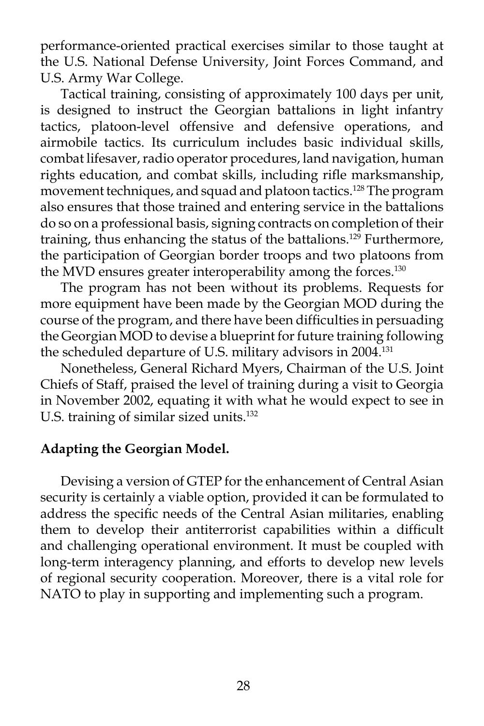performance-oriented practical exercises similar to those taught at the U.S. National Defense University, Joint Forces Command, and U.S. Army War College.

 Tactical training, consisting of approximately 100 days per unit, is designed to instruct the Georgian battalions in light infantry tactics, platoon-level offensive and defensive operations, and airmobile tactics. Its curriculum includes basic individual skills, combat lifesaver, radio operator procedures, land navigation, human rights education, and combat skills, including rifle marksmanship, movement techniques, and squad and platoon tactics.128 The program also ensures that those trained and entering service in the battalions do so on a professional basis, signing contracts on completion of their training, thus enhancing the status of the battalions.<sup>129</sup> Furthermore, the participation of Georgian border troops and two platoons from the MVD ensures greater interoperability among the forces.<sup>130</sup>

 The program has not been without its problems. Requests for more equipment have been made by the Georgian MOD during the course of the program, and there have been difficulties in persuading the Georgian MOD to devise a blueprint for future training following the scheduled departure of U.S. military advisors in 2004.131

 Nonetheless, General Richard Myers, Chairman of the U.S. Joint Chiefs of Staff, praised the level of training during a visit to Georgia in November 2002, equating it with what he would expect to see in U.S. training of similar sized units.<sup>132</sup>

#### **Adapting the Georgian Model.**

 Devising a version of GTEP for the enhancement of Central Asian security is certainly a viable option, provided it can be formulated to address the specific needs of the Central Asian militaries, enabling them to develop their antiterrorist capabilities within a difficult and challenging operational environment. It must be coupled with long-term interagency planning, and efforts to develop new levels of regional security cooperation. Moreover, there is a vital role for NATO to play in supporting and implementing such a program.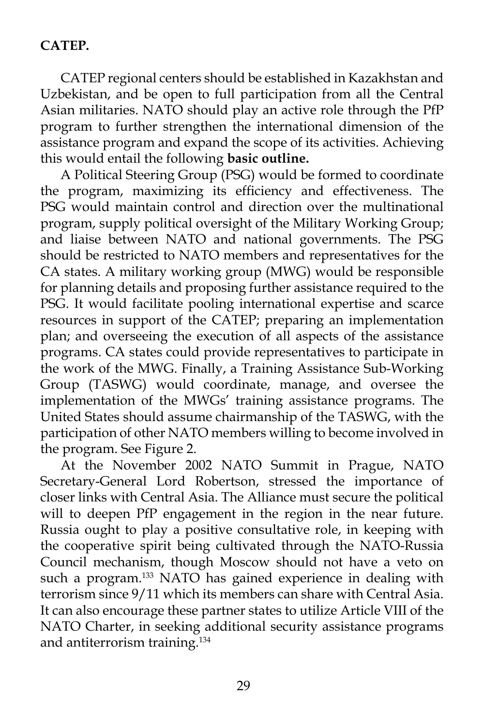## **CATEP.**

 CATEP regional centers should be established in Kazakhstan and Uzbekistan, and be open to full participation from all the Central Asian militaries. NATO should play an active role through the PfP program to further strengthen the international dimension of the assistance program and expand the scope of its activities. Achieving this would entail the following **basic outline.**

 A Political Steering Group (PSG) would be formed to coordinate the program, maximizing its efficiency and effectiveness. The PSG would maintain control and direction over the multinational program, supply political oversight of the Military Working Group; and liaise between NATO and national governments. The PSG should be restricted to NATO members and representatives for the CA states. A military working group (MWG) would be responsible for planning details and proposing further assistance required to the PSG. It would facilitate pooling international expertise and scarce resources in support of the CATEP; preparing an implementation plan; and overseeing the execution of all aspects of the assistance programs. CA states could provide representatives to participate in the work of the MWG. Finally, a Training Assistance Sub-Working Group (TASWG) would coordinate, manage, and oversee the implementation of the MWGs' training assistance programs. The United States should assume chairmanship of the TASWG, with the participation of other NATO members willing to become involved in the program. See Figure 2.

 At the November 2002 NATO Summit in Prague, NATO Secretary-General Lord Robertson, stressed the importance of closer links with Central Asia. The Alliance must secure the political will to deepen PfP engagement in the region in the near future. Russia ought to play a positive consultative role, in keeping with the cooperative spirit being cultivated through the NATO-Russia Council mechanism, though Moscow should not have a veto on such a program.<sup>133</sup> NATO has gained experience in dealing with terrorism since 9/11 which its members can share with Central Asia. It can also encourage these partner states to utilize Article VIII of the NATO Charter, in seeking additional security assistance programs and antiterrorism training.134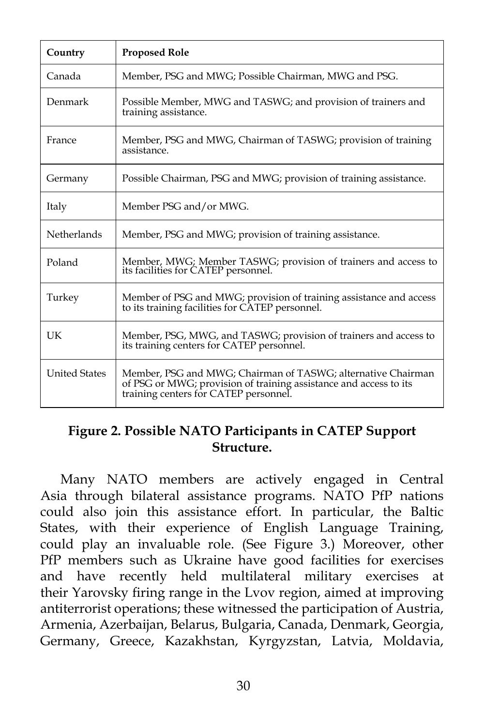| Country              | <b>Proposed Role</b>                                                                                                                                                       |
|----------------------|----------------------------------------------------------------------------------------------------------------------------------------------------------------------------|
| Canada               | Member, PSG and MWG; Possible Chairman, MWG and PSG.                                                                                                                       |
| Denmark              | Possible Member, MWG and TASWG; and provision of trainers and<br>training assistance.                                                                                      |
| France               | Member, PSG and MWG, Chairman of TASWG; provision of training<br>assistance.                                                                                               |
| Germany              | Possible Chairman, PSG and MWG; provision of training assistance.                                                                                                          |
| Italy                | Member PSG and/or MWG.                                                                                                                                                     |
| <b>Netherlands</b>   | Member, PSG and MWG; provision of training assistance.                                                                                                                     |
| Poland               | Member, MWG; Member TASWG; provision of trainers and access to<br>its facilities for CATEP personnel.                                                                      |
| Turkey               | Member of PSG and MWG; provision of training assistance and access<br>to its training facilities for CATEP personnel.                                                      |
| UK                   | Member, PSG, MWG, and TASWG; provision of trainers and access to<br>its training centers for CATEP personnel.                                                              |
| <b>United States</b> | Member, PSG and MWG; Chairman of TASWG; alternative Chairman<br>of PSG or MWG; provision of training assistance and access to its<br>training centers for CATEP personnel. |

### **Figure 2. Possible NATO Participants in CATEP Support Structure.**

 Many NATO members are actively engaged in Central Asia through bilateral assistance programs. NATO PfP nations could also join this assistance effort. In particular, the Baltic States, with their experience of English Language Training, could play an invaluable role. (See Figure 3.) Moreover, other PfP members such as Ukraine have good facilities for exercises and have recently held multilateral military exercises at their Yarovsky firing range in the Lvov region, aimed at improving antiterrorist operations; these witnessed the participation of Austria, Armenia, Azerbaijan, Belarus, Bulgaria, Canada, Denmark, Georgia, Germany, Greece, Kazakhstan, Kyrgyzstan, Latvia, Moldavia,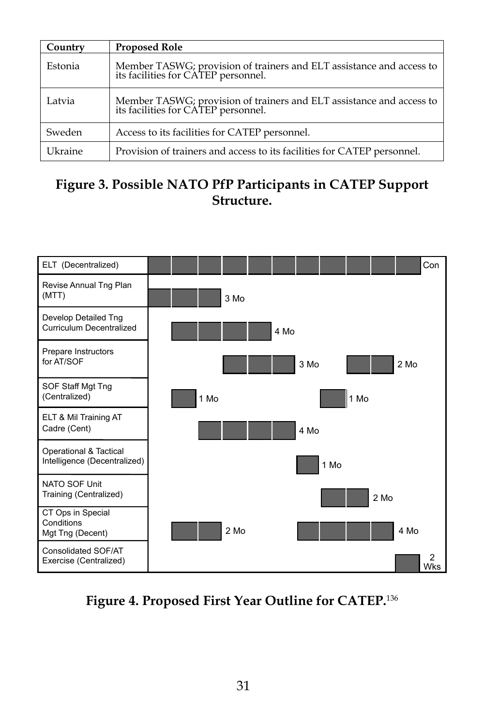| Country | <b>Proposed Role</b>                                                                                     |
|---------|----------------------------------------------------------------------------------------------------------|
| Estonia | Member TASWG; provision of trainers and ELT assistance and access to its facilities for CATEP personnel. |
| Latvia  | Member TASWG; provision of trainers and ELT assistance and access to its facilities for CATEP personnel. |
| Sweden  | Access to its facilities for CATEP personnel.                                                            |
| Ukraine | Provision of trainers and access to its facilities for CATEP personnel.                                  |

# **Figure 3. Possible NATO PfP Participants in CATEP Support Structure.**



**Figure 4. Proposed First Year Outline for CATEP.**136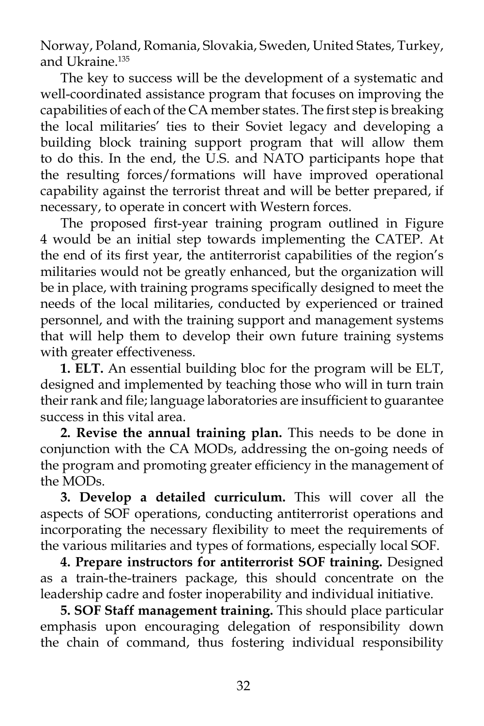Norway, Poland, Romania, Slovakia, Sweden, United States, Turkey, and Ukraine.<sup>135</sup>

 The key to success will be the development of a systematic and well-coordinated assistance program that focuses on improving the capabilities of each of the CA member states. The first step is breaking the local militaries' ties to their Soviet legacy and developing a building block training support program that will allow them to do this. In the end, the U.S. and NATO participants hope that the resulting forces/formations will have improved operational capability against the terrorist threat and will be better prepared, if necessary, to operate in concert with Western forces.

 The proposed first-year training program outlined in Figure 4 would be an initial step towards implementing the CATEP. At the end of its first year, the antiterrorist capabilities of the region's militaries would not be greatly enhanced, but the organization will be in place, with training programs specifically designed to meet the needs of the local militaries, conducted by experienced or trained personnel, and with the training support and management systems that will help them to develop their own future training systems with greater effectiveness.

**1. ELT.** An essential building bloc for the program will be ELT, designed and implemented by teaching those who will in turn train their rank and file; language laboratories are insufficient to guarantee success in this vital area.

**2. Revise the annual training plan.** This needs to be done in conjunction with the CA MODs, addressing the on-going needs of the program and promoting greater efficiency in the management of the MODs.

 **3. Develop a detailed curriculum.** This will cover all the aspects of SOF operations, conducting antiterrorist operations and incorporating the necessary flexibility to meet the requirements of the various militaries and types of formations, especially local SOF.

 **4. Prepare instructors for antiterrorist SOF training.** Designed as a train-the-trainers package, this should concentrate on the leadership cadre and foster inoperability and individual initiative.

 **5. SOF Staff management training.** This should place particular emphasis upon encouraging delegation of responsibility down the chain of command, thus fostering individual responsibility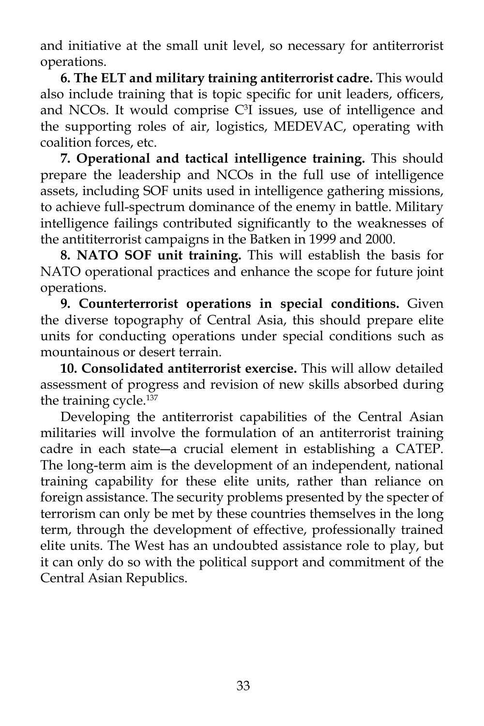and initiative at the small unit level, so necessary for antiterrorist operations.

 **6. The ELT and military training antiterrorist cadre.** This would also include training that is topic specific for unit leaders, officers, and NCOs. It would comprise  $C<sup>3</sup>I$  issues, use of intelligence and the supporting roles of air, logistics, MEDEVAC, operating with coalition forces, etc.

**7. Operational and tactical intelligence training.** This should prepare the leadership and NCOs in the full use of intelligence assets, including SOF units used in intelligence gathering missions, to achieve full-spectrum dominance of the enemy in battle. Military intelligence failings contributed significantly to the weaknesses of the antititerrorist campaigns in the Batken in 1999 and 2000.

 **8. NATO SOF unit training.** This will establish the basis for NATO operational practices and enhance the scope for future joint operations.

 **9. Counterterrorist operations in special conditions.** Given the diverse topography of Central Asia, this should prepare elite units for conducting operations under special conditions such as mountainous or desert terrain.

**10. Consolidated antiterrorist exercise.** This will allow detailed assessment of progress and revision of new skills absorbed during the training cycle.<sup>137</sup>

 Developing the antiterrorist capabilities of the Central Asian militaries will involve the formulation of an antiterrorist training cadre in each state―a crucial element in establishing a CATEP. The long-term aim is the development of an independent, national training capability for these elite units, rather than reliance on foreign assistance. The security problems presented by the specter of terrorism can only be met by these countries themselves in the long term, through the development of effective, professionally trained elite units. The West has an undoubted assistance role to play, but it can only do so with the political support and commitment of the Central Asian Republics.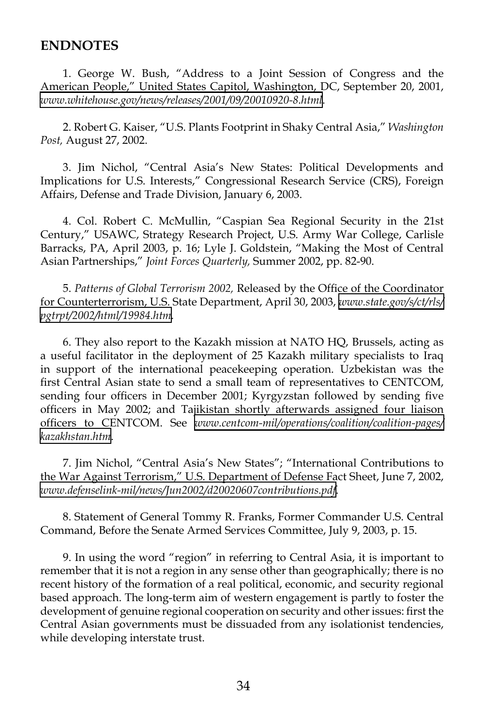#### **ENDNOTES**

1. George W. Bush, "Address to a Joint Session of Congress and the American People," United States Capitol, Washington, DC, September 20, 2001, *[www.whitehouse.gov/news/releases/2001/09/20010920-8.html](http://www.whitehouse.gov/news/releases/2001/09/20010920-8.html)*.

2. Robert G. Kaiser, "U.S. Plants Footprint in Shaky Central Asia," *Washington Post,* August 27, 2002.

3. Jim Nichol, "Central Asia's New States: Political Developments and Implications for U.S. Interests," Congressional Research Service (CRS), Foreign Affairs, Defense and Trade Division, January 6, 2003.

4. Col. Robert C. McMullin, "Caspian Sea Regional Security in the 21st Century," USAWC, Strategy Research Project, U.S. Army War College, Carlisle Barracks, PA, April 2003, p. 16; Lyle J. Goldstein, "Making the Most of Central Asian Partnerships," *Joint Forces Quarterly,* Summer 2002, pp. 82-90.

5. *Patterns of Global Terrorism 2002,* Released by the Office of the Coordinator for Counterterrorism, U.S. State Department, April 30, 2003, *[www.state.gov/s/ct/rls/](http://www.state.gov/s/ct/rls/pgtrpt/2002/html/19984.htm) [pgtrpt/2002/html/19984.htm.](http://www.state.gov/s/ct/rls/pgtrpt/2002/html/19984.htm)*

6. They also report to the Kazakh mission at NATO HQ, Brussels, acting as a useful facilitator in the deployment of 25 Kazakh military specialists to Iraq in support of the international peacekeeping operation. Uzbekistan was the first Central Asian state to send a small team of representatives to CENTCOM, sending four officers in December 2001; Kyrgyzstan followed by sending five officers in May 2002; and Tajikistan shortly afterwards assigned four liaison officers to CENTCOM. See *[www.centcom-mil/operations/coalition/coalition-pages/](http://www.centcom-mil/operations/coalition/coalition-pages/kazakhstan.htm) [kazakhstan.htm](http://www.centcom-mil/operations/coalition/coalition-pages/kazakhstan.htm)*.

7. Jim Nichol, "Central Asia's New States"; "International Contributions to the War Against Terrorism," U.S. Department of Defense Fact Sheet, June 7, 2002, *[www.defenselink-mil/news/Jun2002/d20020607contributions.pdf](http://www.defenselink-mil/news/Jun2002/d20020607contributions.pdf)*.

8. Statement of General Tommy R. Franks, Former Commander U.S. Central Command, Before the Senate Armed Services Committee, July 9, 2003, p. 15.

9. In using the word "region" in referring to Central Asia, it is important to remember that it is not a region in any sense other than geographically; there is no recent history of the formation of a real political, economic, and security regional based approach. The long-term aim of western engagement is partly to foster the development of genuine regional cooperation on security and other issues: first the Central Asian governments must be dissuaded from any isolationist tendencies, while developing interstate trust.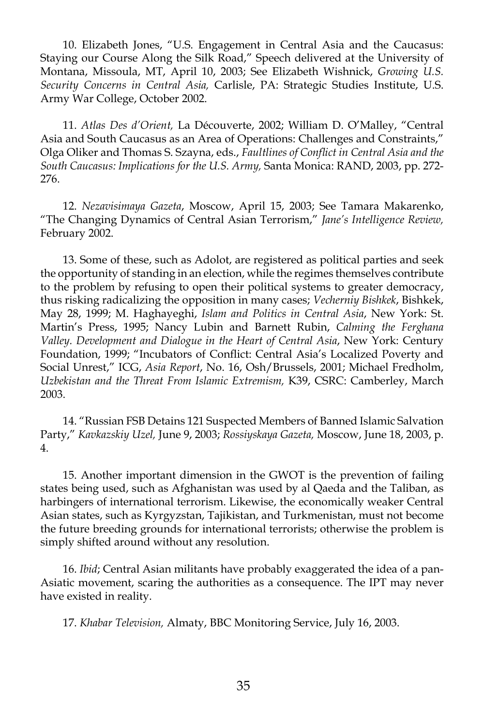10. Elizabeth Jones, "U.S. Engagement in Central Asia and the Caucasus: Staying our Course Along the Silk Road," Speech delivered at the University of Montana, Missoula, MT, April 10, 2003; See Elizabeth Wishnick, *Growing U.S. Security Concerns in Central Asia,* Carlisle, PA: Strategic Studies Institute, U.S. Army War College, October 2002.

11. *Atlas Des d'Orient,* La Découverte, 2002; William D. O'Malley, "Central Asia and South Caucasus as an Area of Operations: Challenges and Constraints," Olga Oliker and Thomas S. Szayna, eds., *Faultlines of Conflict in Central Asia and the South Caucasus: Implications for the U.S. Army,* Santa Monica: RAND, 2003, pp. 272- 276.

12. *Nezavisimaya Gazeta*, Moscow, April 15, 2003; See Tamara Makarenko, "The Changing Dynamics of Central Asian Terrorism," *Jane's Intelligence Review,*  February 2002.

13. Some of these, such as Adolot, are registered as political parties and seek the opportunity of standing in an election, while the regimes themselves contribute to the problem by refusing to open their political systems to greater democracy, thus risking radicalizing the opposition in many cases; *Vecherniy Bishkek*, Bishkek, May 28, 1999; M. Haghayeghi, *Islam and Politics in Central Asia*, New York: St. Martin's Press, 1995; Nancy Lubin and Barnett Rubin, *Calming the Ferghana Valley. Development and Dialogue in the Heart of Central Asia*, New York: Century Foundation, 1999; "Incubators of Conflict: Central Asia's Localized Poverty and Social Unrest," ICG, *Asia Report*, No. 16, Osh/Brussels, 2001; Michael Fredholm, *Uzbekistan and the Threat From Islamic Extremism,* K39, CSRC: Camberley, March 2003.

14. "Russian FSB Detains 121 Suspected Members of Banned Islamic Salvation Party," *Kavkazskiy Uzel,* June 9, 2003; *Rossiyskaya Gazeta,* Moscow, June 18, 2003, p. 4.

15. Another important dimension in the GWOT is the prevention of failing states being used, such as Afghanistan was used by al Qaeda and the Taliban, as harbingers of international terrorism. Likewise, the economically weaker Central Asian states, such as Kyrgyzstan, Tajikistan, and Turkmenistan, must not become the future breeding grounds for international terrorists; otherwise the problem is simply shifted around without any resolution.

16. *Ibid*; Central Asian militants have probably exaggerated the idea of a pan-Asiatic movement, scaring the authorities as a consequence. The IPT may never have existed in reality.

17. *Khabar Television,* Almaty, BBC Monitoring Service, July 16, 2003.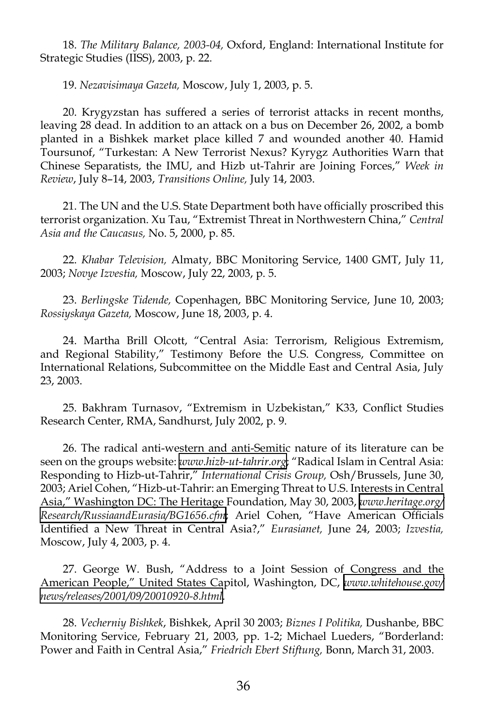18. *The Military Balance, 2003-04,* Oxford, England: International Institute for Strategic Studies (IISS), 2003, p. 22.

19. *Nezavisimaya Gazeta,* Moscow, July 1, 2003, p. 5.

20. Krygyzstan has suffered a series of terrorist attacks in recent months, leaving 28 dead. In addition to an attack on a bus on December 26, 2002, a bomb planted in a Bishkek market place killed 7 and wounded another 40. Hamid Toursunof, "Turkestan: A New Terrorist Nexus? Kyrygz Authorities Warn that Chinese Separatists, the IMU, and Hizb ut-Tahrir are Joining Forces," *Week in Review*, July 8–14, 2003, *Transitions Online,* July 14, 2003.

21. The UN and the U.S. State Department both have officially proscribed this terrorist organization. Xu Tau, "Extremist Threat in Northwestern China," *Central Asia and the Caucasus,* No. 5, 2000, p. 85.

22. *Khabar Television,* Almaty, BBC Monitoring Service, 1400 GMT, July 11, 2003; *Novye Izvestia,* Moscow, July 22, 2003, p. 5.

23. *Berlingske Tidende,* Copenhagen, BBC Monitoring Service, June 10, 2003; *Rossiyskaya Gazeta,* Moscow, June 18, 2003, p. 4.

24. Martha Brill Olcott, "Central Asia: Terrorism, Religious Extremism, and Regional Stability," Testimony Before the U.S. Congress, Committee on International Relations, Subcommittee on the Middle East and Central Asia, July 23, 2003.

25. Bakhram Turnasov, "Extremism in Uzbekistan," K33, Conflict Studies Research Center, RMA, Sandhurst, July 2002, p. 9.

26. The radical anti-western and anti-Semitic nature of its literature can be seen on the groups website: *[www.hizb-ut-tahrir.org](http://www.hizb-ut-tahrir.org)*; "Radical Islam in Central Asia: Responding to Hizb-ut-Tahrir," *International Crisis Group,* Osh/Brussels, June 30, 2003; Ariel Cohen, "Hizb-ut-Tahrir: an Emerging Threat to U.S. Interests in Central Asia," Washington DC: The Heritage Foundation, May 30, 2003, *[www.heritage.org/](http://www.heritage.org/Research/RussiaandEurasia/BG1656.cfm) [Research/RussiaandEurasia/BG1656.cfm](http://www.heritage.org/Research/RussiaandEurasia/BG1656.cfm)*; Ariel Cohen, "Have American Officials Identified a New Threat in Central Asia?," *Eurasianet,* June 24, 2003; *Izvestia,* Moscow, July 4, 2003, p. 4.

27. George W. Bush, "Address to a Joint Session of Congress and the American People," United States Capitol, Washington, DC, *[www.whitehouse.gov/](http://www.whitehouse.gov/news/releases/2001/09/20010920-8.html) [news/releases/2001/09/20010920-8.html.](http://www.whitehouse.gov/news/releases/2001/09/20010920-8.html)*

28. *Vecherniy Bishkek*, Bishkek, April 30 2003; *Biznes I Politika,* Dushanbe, BBC Monitoring Service, February 21, 2003, pp. 1-2; Michael Lueders, "Borderland: Power and Faith in Central Asia," *Friedrich Ebert Stiftung,* Bonn, March 31, 2003.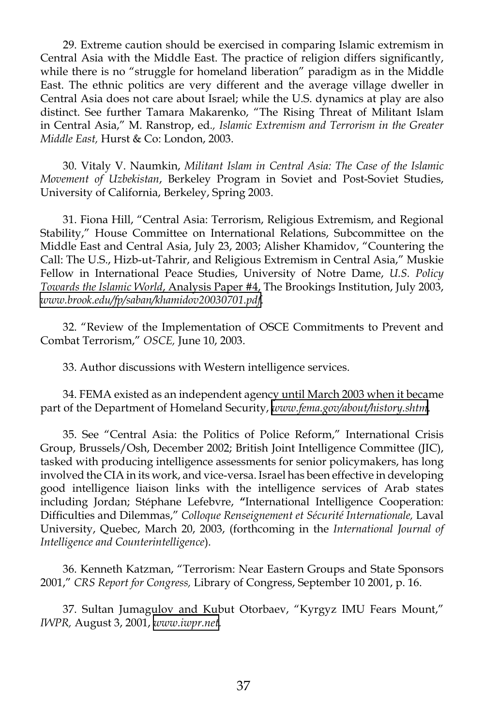29. Extreme caution should be exercised in comparing Islamic extremism in Central Asia with the Middle East. The practice of religion differs significantly, while there is no "struggle for homeland liberation" paradigm as in the Middle East. The ethnic politics are very different and the average village dweller in Central Asia does not care about Israel; while the U.S. dynamics at play are also distinct. See further Tamara Makarenko, "The Rising Threat of Militant Islam in Central Asia," M. Ranstrop, ed*., Islamic Extremism and Terrorism in the Greater Middle East,* Hurst & Co: London, 2003.

30. Vitaly V. Naumkin, *Militant Islam in Central Asia: The Case of the Islamic Movement of Uzbekistan*, Berkeley Program in Soviet and Post-Soviet Studies, University of California, Berkeley, Spring 2003.

31. Fiona Hill, "Central Asia: Terrorism, Religious Extremism, and Regional Stability," House Committee on International Relations, Subcommittee on the Middle East and Central Asia, July 23, 2003; Alisher Khamidov, "Countering the Call: The U.S., Hizb-ut-Tahrir, and Religious Extremism in Central Asia," Muskie Fellow in International Peace Studies, University of Notre Dame, *U.S. Policy Towards the Islamic World*, Analysis Paper #4, The Brookings Institution, July 2003, *[www.brook.edu/fp/saban/khamidov20030701.pdf](http://www.brook.edu/fp/saban/khamidov20030701.pdf)*.

32. "Review of the Implementation of OSCE Commitments to Prevent and Combat Terrorism," *OSCE,* June 10, 2003.

33. Author discussions with Western intelligence services.

34. FEMA existed as an independent agency until March 2003 when it became part of the Department of Homeland Security, *[www.fema.gov/about/history.shtm](http://www.fema.gov/about/history.shtm)*.

35. See "Central Asia: the Politics of Police Reform," International Crisis Group, Brussels/Osh, December 2002; British Joint Intelligence Committee (JIC), tasked with producing intelligence assessments for senior policymakers, has long involved the CIA in its work, and vice-versa. Israel has been effective in developing good intelligence liaison links with the intelligence services of Arab states including Jordan; Stéphane Lefebvre, **"**International Intelligence Cooperation: Difficulties and Dilemmas," *Colloque Renseignement et Sécurité Internationale,* Laval University, Quebec, March 20, 2003, (forthcoming in the *International Journal of Intelligence and Counterintelligence*).

36. Kenneth Katzman, "Terrorism: Near Eastern Groups and State Sponsors 2001," *CRS Report for Congress,* Library of Congress, September 10 2001, p. 16.

37. Sultan Jumagulov and Kubut Otorbaev, "Kyrgyz IMU Fears Mount," *IWPR,* August 3, 2001, *[www.iwpr.net](http://www.iwpr.net).*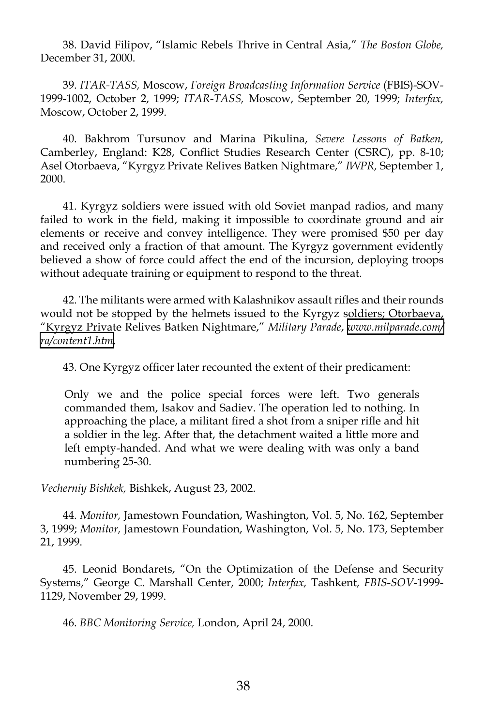38. David Filipov, "Islamic Rebels Thrive in Central Asia," *The Boston Globe,* December 31, 2000.

39. *ITAR-TASS,* Moscow, *Foreign Broadcasting Information Service* (FBIS)-SOV-1999-1002, October 2, 1999; *ITAR-TASS,* Moscow, September 20, 1999; *Interfax,* Moscow, October 2, 1999.

40. Bakhrom Tursunov and Marina Pikulina, *Severe Lessons of Batken,* Camberley, England: K28, Conflict Studies Research Center (CSRC), pp. 8-10; Asel Otorbaeva, "Kyrgyz Private Relives Batken Nightmare," *IWPR,* September 1, 2000.

41. Kyrgyz soldiers were issued with old Soviet manpad radios, and many failed to work in the field, making it impossible to coordinate ground and air elements or receive and convey intelligence. They were promised \$50 per day and received only a fraction of that amount. The Kyrgyz government evidently believed a show of force could affect the end of the incursion, deploying troops without adequate training or equipment to respond to the threat.

42. The militants were armed with Kalashnikov assault rifles and their rounds would not be stopped by the helmets issued to the Kyrgyz soldiers; Otorbaeva, "Kyrgyz Private Relives Batken Nightmare," *Military Parade*, *[www.milparade.com/](http://www.milparade.com/ra/content1.htm) [ra/content1.htm](http://www.milparade.com/ra/content1.htm)*.

43. One Kyrgyz officer later recounted the extent of their predicament:

Only we and the police special forces were left. Two generals commanded them, Isakov and Sadiev. The operation led to nothing. In approaching the place, a militant fired a shot from a sniper rifle and hit a soldier in the leg. After that, the detachment waited a little more and left empty-handed. And what we were dealing with was only a band numbering 25-30.

*Vecherniy Bishkek,* Bishkek, August 23, 2002.

44. *Monitor,* Jamestown Foundation, Washington, Vol. 5, No. 162, September 3, 1999; *Monitor,* Jamestown Foundation, Washington, Vol. 5, No. 173, September 21, 1999.

45. Leonid Bondarets, "On the Optimization of the Defense and Security Systems," George C. Marshall Center, 2000; *Interfax,* Tashkent, *FBIS-SOV*-1999- 1129, November 29, 1999.

46. *BBC Monitoring Service,* London, April 24, 2000.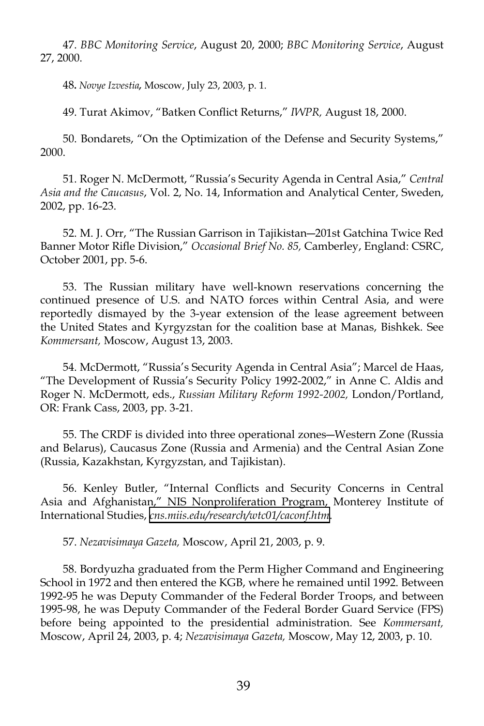47. *BBC Monitoring Service*, August 20, 2000; *BBC Monitoring Service*, August 27, 2000.

48**.** *Novye Izvestia,* Moscow, July 23, 2003, p. 1.

49. Turat Akimov, "Batken Conflict Returns," *IWPR,* August 18, 2000.

50. Bondarets, "On the Optimization of the Defense and Security Systems," 2000.

51. Roger N. McDermott, "Russia's Security Agenda in Central Asia," *Central Asia and the Caucasus*, Vol. 2, No. 14, Information and Analytical Center, Sweden, 2002, pp. 16-23.

52. M. J. Orr, "The Russian Garrison in Tajikistan―201st Gatchina Twice Red Banner Motor Rifle Division," *Occasional Brief No. 85,* Camberley, England: CSRC, October 2001, pp. 5-6.

53. The Russian military have well-known reservations concerning the continued presence of U.S. and NATO forces within Central Asia, and were reportedly dismayed by the 3-year extension of the lease agreement between the United States and Kyrgyzstan for the coalition base at Manas, Bishkek. See *Kommersant,* Moscow, August 13, 2003.

54. McDermott, "Russia's Security Agenda in Central Asia"; Marcel de Haas, "The Development of Russia's Security Policy 1992-2002," in Anne C. Aldis and Roger N. McDermott, eds., *Russian Military Reform 1992-2002,* London/Portland, OR: Frank Cass, 2003, pp. 3-21.

55. The CRDF is divided into three operational zones―Western Zone (Russia and Belarus), Caucasus Zone (Russia and Armenia) and the Central Asian Zone (Russia, Kazakhstan, Kyrgyzstan, and Tajikistan).

56. Kenley Butler, "Internal Conflicts and Security Concerns in Central Asia and Afghanistan," NIS Nonproliferation Program, Monterey Institute of International Studies, *[cns.miis.edu/research/wtc01/caconf.htm](http://cns.miis.edu/research/wtc01/caconf.htm)*.

57. *Nezavisimaya Gazeta,* Moscow, April 21, 2003, p. 9.

58. Bordyuzha graduated from the Perm Higher Command and Engineering School in 1972 and then entered the KGB, where he remained until 1992. Between 1992-95 he was Deputy Commander of the Federal Border Troops, and between 1995-98, he was Deputy Commander of the Federal Border Guard Service (FPS) before being appointed to the presidential administration. See *Kommersant,* Moscow, April 24, 2003, p. 4; *Nezavisimaya Gazeta,* Moscow, May 12, 2003, p. 10.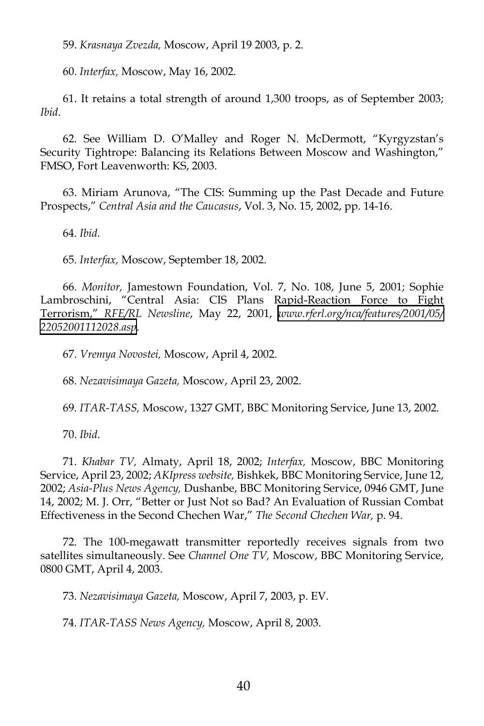59. *Krasnaya Zvezda,* Moscow, April 19 2003, p. 2.

60. *Interfax,* Moscow, May 16, 2002.

61. It retains a total strength of around 1,300 troops, as of September 2003; *Ibid*.

62. See William D. O'Malley and Roger N. McDermott, "Kyrgyzstan's Security Tightrope: Balancing its Relations Between Moscow and Washington," FMSO, Fort Leavenworth: KS, 2003.

63. Miriam Arunova, "The CIS: Summing up the Past Decade and Future Prospects," *Central Asia and the Caucasus*, Vol. 3, No. 15, 2002, pp. 14-16.

64. *Ibid*.

65. *Interfax,* Moscow, September 18, 2002.

66. *Monitor,* Jamestown Foundation, Vol. 7, No. 108, June 5, 2001; Sophie Lambroschini, "Central Asia: CIS Plans Rapid-Reaction Force to Fight Terrorism," *RFE/RL Newsline*, May 22, 2001, *[www.rferl.org/nca/features/2001/05/](http://www.rferl.org/nca/features/2001/05/22052001112028.asp) [22052001112028.asp](http://www.rferl.org/nca/features/2001/05/22052001112028.asp)*.

67. *Vremya Novostei,* Moscow, April 4, 2002.

68. *Nezavisimaya Gazeta,* Moscow, April 23, 2002.

69. *ITAR-TASS,* Moscow, 1327 GMT, BBC Monitoring Service, June 13, 2002.

70. *Ibid*.

71. *Khabar TV,* Almaty, April 18, 2002; *Interfax,* Moscow, BBC Monitoring Service, April 23, 2002; *AKIpress website,* Bishkek, BBC Monitoring Service, June 12, 2002; *Asia-Plus News Agency,* Dushanbe, BBC Monitoring Service, 0946 GMT, June 14, 2002; M. J. Orr, "Better or Just Not so Bad? An Evaluation of Russian Combat Effectiveness in the Second Chechen War," *The Second Chechen War,* p. 94.

72. The 100-megawatt transmitter reportedly receives signals from two satellites simultaneously. See *Channel One TV,* Moscow, BBC Monitoring Service, 0800 GMT, April 4, 2003.

73. *Nezavisimaya Gazeta,* Moscow, April 7, 2003, p. EV.

74. *ITAR-TASS News Agency,* Moscow, April 8, 2003.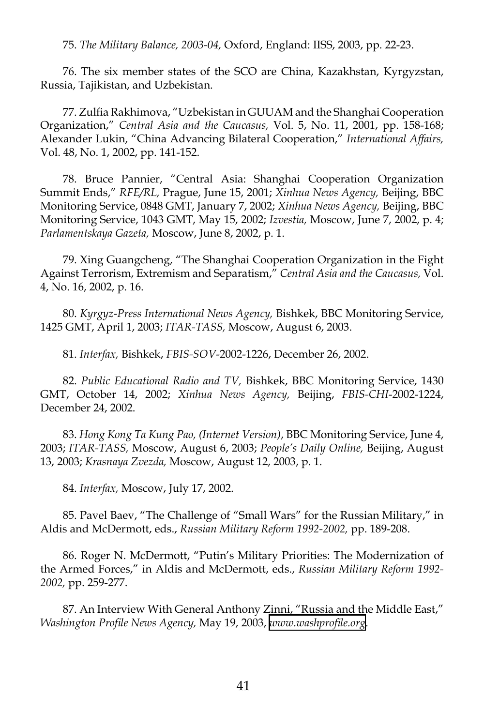75. *The Military Balance, 2003-04,* Oxford, England: IISS, 2003, pp. 22-23.

76. The six member states of the SCO are China, Kazakhstan, Kyrgyzstan, Russia, Tajikistan, and Uzbekistan.

77. Zulfia Rakhimova, "Uzbekistan in GUUAM and the Shanghai Cooperation Organization," *Central Asia and the Caucasus,* Vol. 5, No. 11, 2001, pp. 158-168; Alexander Lukin, "China Advancing Bilateral Cooperation," *International Affairs,* Vol. 48, No. 1, 2002, pp. 141-152.

78. Bruce Pannier, "Central Asia: Shanghai Cooperation Organization Summit Ends," *RFE/RL,* Prague, June 15, 2001; *Xinhua News Agency,* Beijing, BBC Monitoring Service, 0848 GMT, January 7, 2002; *Xinhua News Agency,* Beijing, BBC Monitoring Service, 1043 GMT, May 15, 2002; *Izvestia,* Moscow, June 7, 2002, p. 4; *Parlamentskaya Gazeta,* Moscow, June 8, 2002, p. 1.

79. Xing Guangcheng, "The Shanghai Cooperation Organization in the Fight Against Terrorism, Extremism and Separatism," *Central Asia and the Caucasus,* Vol. 4, No. 16, 2002, p. 16.

80. *Kyrgyz-Press International News Agency,* Bishkek, BBC Monitoring Service, 1425 GMT, April 1, 2003; *ITAR-TASS,* Moscow, August 6, 2003.

81. *Interfax,* Bishkek, *FBIS-SOV*-2002-1226, December 26, 2002.

82. *Public Educational Radio and TV,* Bishkek, BBC Monitoring Service, 1430 GMT, October 14, 2002; *Xinhua News Agency,* Beijing, *FBIS-CHI*-2002-1224, December 24, 2002.

83. *Hong Kong Ta Kung Pao, (Internet Version)*, BBC Monitoring Service, June 4, 2003; *ITAR-TASS,* Moscow, August 6, 2003; *People's Daily Online,* Beijing, August 13, 2003; *Krasnaya Zvezda,* Moscow, August 12, 2003, p. 1.

84. *Interfax,* Moscow, July 17, 2002.

85. Pavel Baev, "The Challenge of "Small Wars" for the Russian Military," in Aldis and McDermott, eds., *Russian Military Reform 1992-2002,* pp. 189-208.

86. Roger N. McDermott, "Putin's Military Priorities: The Modernization of the Armed Forces," in Aldis and McDermott, eds., *Russian Military Reform 1992- 2002,* pp. 259-277.

87. An Interview With General Anthony Zinni, "Russia and the Middle East," *Washington Profile News Agency,* May 19, 2003, *[www.washprofile.org](http://www.washprofile.org)*.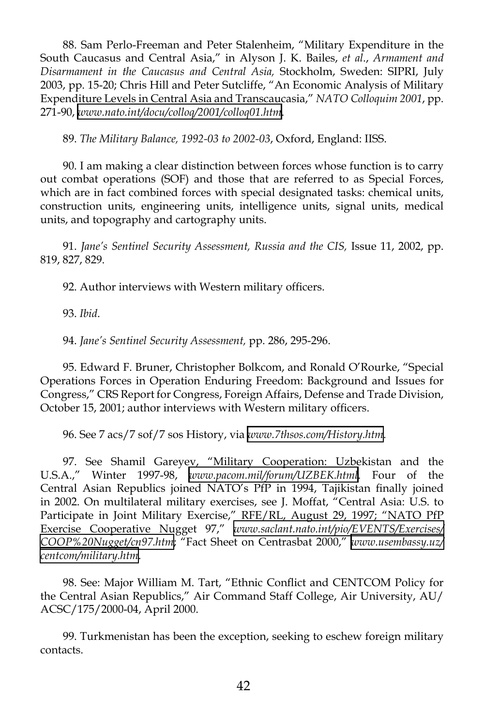88. Sam Perlo-Freeman and Peter Stalenheim, "Military Expenditure in the South Caucasus and Central Asia," in Alyson J. K. Bailes, *et al*., *Armament and Disarmament in the Caucasus and Central Asia,* Stockholm, Sweden: SIPRI, July 2003, pp. 15-20; Chris Hill and Peter Sutcliffe, "An Economic Analysis of Military Expenditure Levels in Central Asia and Transcaucasia," *NATO Colloquim 2001*, pp. 271-90, *[www.nato.int/docu/colloq/2001/colloq01.htm]( http://www.nato.int/docu/colloq/2001/colloq01.htm )*.

89. *The Military Balance, 1992-03 to 2002-03*, Oxford, England: IISS.

90. I am making a clear distinction between forces whose function is to carry out combat operations (SOF) and those that are referred to as Special Forces, which are in fact combined forces with special designated tasks: chemical units, construction units, engineering units, intelligence units, signal units, medical units, and topography and cartography units.

91. *Jane's Sentinel Security Assessment, Russia and the CIS,* Issue 11, 2002, pp. 819, 827, 829.

92. Author interviews with Western military officers.

93. *Ibid*.

94. *Jane's Sentinel Security Assessment,* pp. 286, 295-296.

95. Edward F. Bruner, Christopher Bolkcom, and Ronald O'Rourke, "Special Operations Forces in Operation Enduring Freedom: Background and Issues for Congress," CRS Report for Congress, Foreign Affairs, Defense and Trade Division, October 15, 2001; author interviews with Western military officers.

96. See 7 acs/7 sof/7 sos History, via *[www.7thsos.com/History.htm](http://www.7thsos.com/History.htm)*.

97. See Shamil Gareyev, "Military Cooperation: Uzbekistan and the U.S.A.," Winter 1997-98, *[www.pacom.mil/forum/UZBEK.html](http://www.pacom.mil/forum/UZBEK.html)*. Four of the Central Asian Republics joined NATO's PfP in 1994, Tajikistan finally joined in 2002. On multilateral military exercises, see J. Moffat, "Central Asia: U.S. to Participate in Joint Military Exercise," RFE/RL, August 29, 1997; "NATO PfP Exercise Cooperative Nugget 97," *[www.saclant.nato.int/pio/EVENTS/Exercises/](http://www.saclant.nato.int/pio/EVENTS/Exercises/COOP%20Nugget/cn97.htm) [COOP%20Nugget/cn97.htm](http://www.saclant.nato.int/pio/EVENTS/Exercises/COOP%20Nugget/cn97.htm)*; "Fact Sheet on Centrasbat 2000," *[www.usembassy.uz/](http://www.usembassy.uz/centcom/military.htm) [centcom/military.htm](http://www.usembassy.uz/centcom/military.htm)*.

98. See: Major William M. Tart, "Ethnic Conflict and CENTCOM Policy for the Central Asian Republics," Air Command Staff College, Air University, AU/ ACSC/175/2000-04, April 2000.

99. Turkmenistan has been the exception, seeking to eschew foreign military contacts.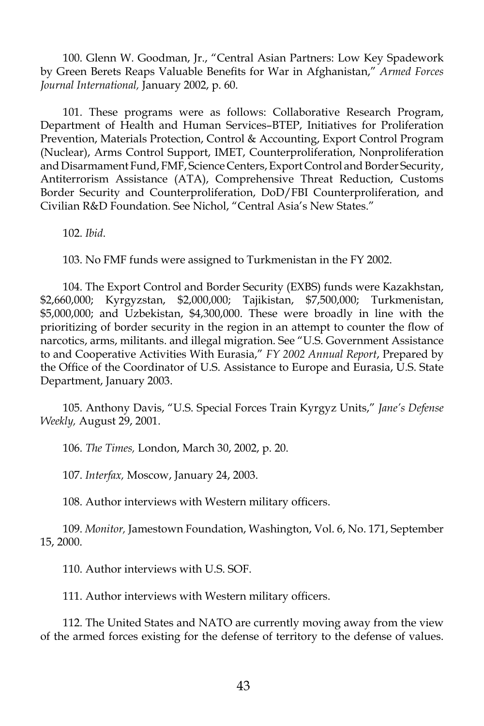100. Glenn W. Goodman, Jr., "Central Asian Partners: Low Key Spadework by Green Berets Reaps Valuable Benefits for War in Afghanistan," *Armed Forces Journal International,* January 2002, p. 60.

101. These programs were as follows: Collaborative Research Program, Department of Health and Human Services–BTEP, Initiatives for Proliferation Prevention, Materials Protection, Control & Accounting, Export Control Program (Nuclear), Arms Control Support, IMET, Counterproliferation, Nonproliferation and Disarmament Fund, FMF, Science Centers, Export Control and Border Security, Antiterrorism Assistance (ATA), Comprehensive Threat Reduction, Customs Border Security and Counterproliferation, DoD/FBI Counterproliferation, and Civilian R&D Foundation. See Nichol, "Central Asia's New States."

102. *Ibid*.

103. No FMF funds were assigned to Turkmenistan in the FY 2002.

104. The Export Control and Border Security (EXBS) funds were Kazakhstan, \$2,660,000; Kyrgyzstan, \$2,000,000; Tajikistan, \$7,500,000; Turkmenistan, \$5,000,000; and Uzbekistan, \$4,300,000. These were broadly in line with the prioritizing of border security in the region in an attempt to counter the flow of narcotics, arms, militants. and illegal migration. See "U.S. Government Assistance to and Cooperative Activities With Eurasia," *FY 2002 Annual Report*, Prepared by the Office of the Coordinator of U.S. Assistance to Europe and Eurasia, U.S. State Department, January 2003.

105. Anthony Davis, "U.S. Special Forces Train Kyrgyz Units," *Jane's Defense Weekly,* August 29, 2001.

106. *The Times,* London, March 30, 2002, p. 20.

107. *Interfax,* Moscow, January 24, 2003.

108. Author interviews with Western military officers.

109. *Monitor,* Jamestown Foundation, Washington, Vol. 6, No. 171, September 15, 2000.

110. Author interviews with U.S. SOF.

111. Author interviews with Western military officers.

112. The United States and NATO are currently moving away from the view of the armed forces existing for the defense of territory to the defense of values.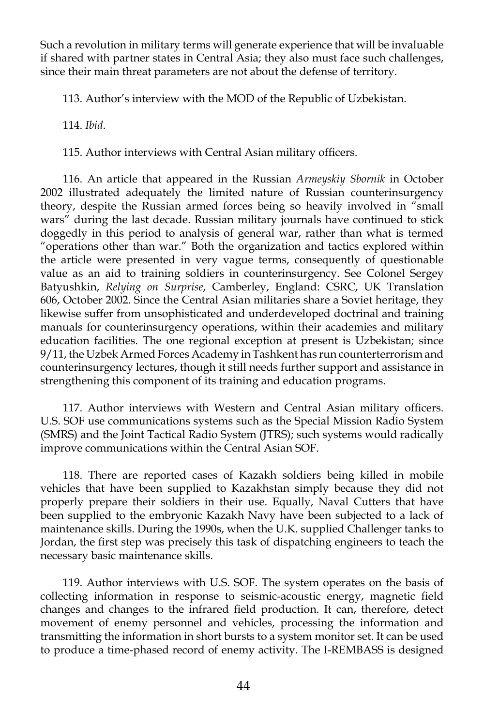Such a revolution in military terms will generate experience that will be invaluable if shared with partner states in Central Asia; they also must face such challenges, since their main threat parameters are not about the defense of territory.

113. Author's interview with the MOD of the Republic of Uzbekistan.

114. *Ibid*.

115. Author interviews with Central Asian military officers.

116. An article that appeared in the Russian *Armeyskiy Sbornik* in October 2002 illustrated adequately the limited nature of Russian counterinsurgency theory, despite the Russian armed forces being so heavily involved in "small wars" during the last decade. Russian military journals have continued to stick doggedly in this period to analysis of general war, rather than what is termed "operations other than war." Both the organization and tactics explored within the article were presented in very vague terms, consequently of questionable value as an aid to training soldiers in counterinsurgency. See Colonel Sergey Batyushkin, *Relying on Surprise*, Camberley, England: CSRC, UK Translation 606, October 2002. Since the Central Asian militaries share a Soviet heritage, they likewise suffer from unsophisticated and underdeveloped doctrinal and training manuals for counterinsurgency operations, within their academies and military education facilities. The one regional exception at present is Uzbekistan; since 9/11, the Uzbek Armed Forces Academy in Tashkent has run counterterrorism and counterinsurgency lectures, though it still needs further support and assistance in strengthening this component of its training and education programs.

117. Author interviews with Western and Central Asian military officers. U.S. SOF use communications systems such as the Special Mission Radio System (SMRS) and the Joint Tactical Radio System (JTRS); such systems would radically improve communications within the Central Asian SOF.

118. There are reported cases of Kazakh soldiers being killed in mobile vehicles that have been supplied to Kazakhstan simply because they did not properly prepare their soldiers in their use. Equally, Naval Cutters that have been supplied to the embryonic Kazakh Navy have been subjected to a lack of maintenance skills. During the 1990s, when the U.K. supplied Challenger tanks to Jordan, the first step was precisely this task of dispatching engineers to teach the necessary basic maintenance skills.

119. Author interviews with U.S. SOF. The system operates on the basis of collecting information in response to seismic-acoustic energy, magnetic field changes and changes to the infrared field production. It can, therefore, detect movement of enemy personnel and vehicles, processing the information and transmitting the information in short bursts to a system monitor set. It can be used to produce a time-phased record of enemy activity. The I-REMBASS is designed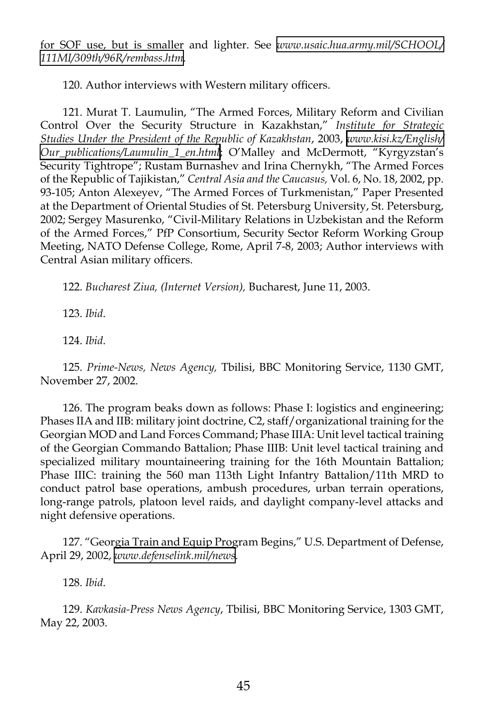for SOF use, but is smaller and lighter. See *[www.usaic.hua.army.mil/SCHOOL/](http://www.usaic.hua.army.mil/SCHOOL/111MI/309th/96R/rembass.htm) [111MI/309th/96R/rembass.htm.](http://www.usaic.hua.army.mil/SCHOOL/111MI/309th/96R/rembass.htm)*

120. Author interviews with Western military officers.

121. Murat T. Laumulin, "The Armed Forces, Military Reform and Civilian Control Over the Security Structure in Kazakhstan," *Institute for Strategic Studies Under the President of the Republic of Kazakhstan*, 2003, *[www.kisi.kz/English/](http://www.kisi.kz/English/Our_publications/Laumulin_1_en.html) [Our\\_publications/Laumulin\\_1\\_en.html](http://www.kisi.kz/English/Our_publications/Laumulin_1_en.html)*; O'Malley and McDermott, "Kyrgyzstan's Security Tightrope"; Rustam Burnashev and Irina Chernykh, "The Armed Forces of the Republic of Tajikistan," *Central Asia and the Caucasus,* Vol. 6, No. 18, 2002, pp. 93-105; Anton Alexeyev, "The Armed Forces of Turkmenistan," Paper Presented at the Department of Oriental Studies of St. Petersburg University, St. Petersburg, 2002; Sergey Masurenko, "Civil-Military Relations in Uzbekistan and the Reform of the Armed Forces," PfP Consortium, Security Sector Reform Working Group Meeting, NATO Defense College, Rome, April 7-8, 2003; Author interviews with Central Asian military officers.

122. *Bucharest Ziua, (Internet Version),* Bucharest, June 11, 2003.

123. *Ibid*.

124. *Ibid*.

125. *Prime-News, News Agency,* Tbilisi, BBC Monitoring Service, 1130 GMT, November 27, 2002.

126. The program beaks down as follows: Phase I: logistics and engineering; Phases IIA and IIB: military joint doctrine, C2, staff/organizational training for the Georgian MOD and Land Forces Command; Phase IIIA: Unit level tactical training of the Georgian Commando Battalion; Phase IIIB: Unit level tactical training and specialized military mountaineering training for the 16th Mountain Battalion; Phase IIIC: training the 560 man 113th Light Infantry Battalion/11th MRD to conduct patrol base operations, ambush procedures, urban terrain operations, long-range patrols, platoon level raids, and daylight company-level attacks and night defensive operations.

127. "Georgia Train and Equip Program Begins," U.S. Department of Defense, April 29, 2002, *[www.defenselink.mil/news](http://www.defenselink.mil/news)*.

128. *Ibid*.

129. *Kavkasia-Press News Agency*, Tbilisi, BBC Monitoring Service, 1303 GMT, May 22, 2003.